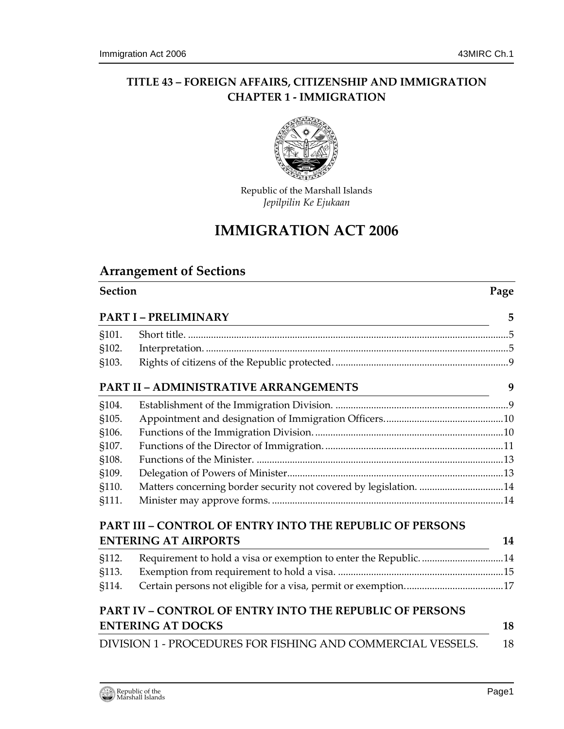# **TITLE 43 – FOREIGN AFFAIRS, CITIZENSHIP AND IMMIGRATION CHAPTER 1 - IMMIGRATION**



Republic of the Marshall Islands *Jepilpilin Ke Ejukaan*

# **IMMIGRATION ACT 2006**

# **Arrangement of Sections**

| <b>Section</b> | Page |
|----------------|------|
|                |      |

|       | PART I – PRELIMINARY<br><u> 1980 - Johann Stoff, deutscher Stoff aus der Stoff aus der Stoff aus der Stoff aus der Stoff aus der Stoff a</u> | 5  |
|-------|----------------------------------------------------------------------------------------------------------------------------------------------|----|
| §101. |                                                                                                                                              |    |
| §102. |                                                                                                                                              |    |
| §103. |                                                                                                                                              |    |
|       | PART II – ADMINISTRATIVE ARRANGEMENTS                                                                                                        | 9  |
| §104. |                                                                                                                                              |    |
| §105. |                                                                                                                                              |    |
| §106. |                                                                                                                                              |    |
| §107. |                                                                                                                                              |    |
| §108. |                                                                                                                                              |    |
| §109. |                                                                                                                                              |    |
| §110. | Matters concerning border security not covered by legislation. 14                                                                            |    |
| §111. |                                                                                                                                              |    |
|       | PART III – CONTROL OF ENTRY INTO THE REPUBLIC OF PERSONS                                                                                     |    |
|       | <b>ENTERING AT AIRPORTS</b>                                                                                                                  | 14 |
| §112. | Requirement to hold a visa or exemption to enter the Republic. 14                                                                            |    |
| §113. |                                                                                                                                              |    |
| §114. |                                                                                                                                              |    |
|       | PART IV – CONTROL OF ENTRY INTO THE REPUBLIC OF PERSONS                                                                                      |    |
|       | <b>ENTERING AT DOCKS</b>                                                                                                                     | 18 |
|       | DIVISION 1 - PROCEDURES FOR FISHING AND COMMERCIAL VESSELS.                                                                                  | 18 |
|       |                                                                                                                                              |    |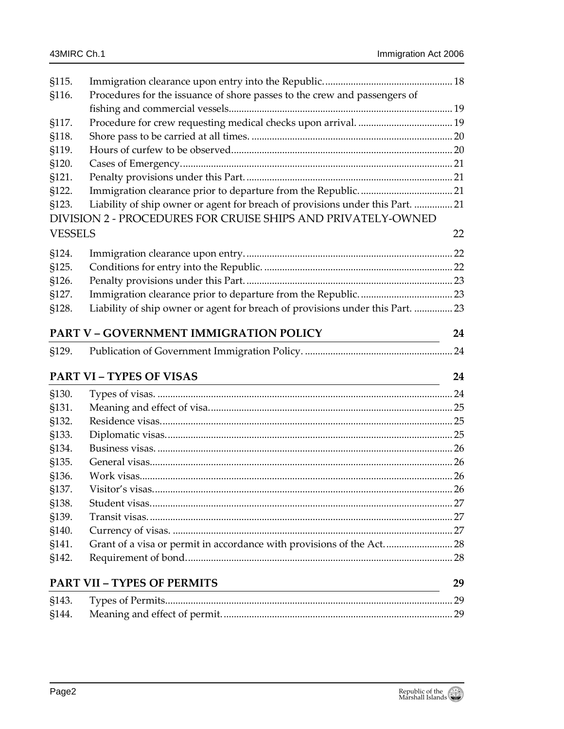| §115.                       |                                                                                |    |
|-----------------------------|--------------------------------------------------------------------------------|----|
| §116.                       | Procedures for the issuance of shore passes to the crew and passengers of      |    |
|                             |                                                                                |    |
| §117.                       |                                                                                |    |
| §118.                       |                                                                                |    |
| §119.                       |                                                                                |    |
| §120.                       |                                                                                |    |
| §121.                       |                                                                                |    |
| §122.                       |                                                                                |    |
| §123.                       | Liability of ship owner or agent for breach of provisions under this Part.  21 |    |
|                             | DIVISION 2 - PROCEDURES FOR CRUISE SHIPS AND PRIVATELY-OWNED                   |    |
| <b>VESSELS</b>              |                                                                                | 22 |
| §124.                       |                                                                                |    |
| §125.                       |                                                                                |    |
| §126.                       |                                                                                |    |
| §127.                       |                                                                                |    |
| §128.                       | Liability of ship owner or agent for breach of provisions under this Part.  23 |    |
|                             | PART V - GOVERNMENT IMMIGRATION POLICY                                         | 24 |
| §129.                       |                                                                                |    |
|                             | <b>PART VI - TYPES OF VISAS</b>                                                | 24 |
|                             |                                                                                |    |
| §130.                       |                                                                                |    |
| §131.                       |                                                                                |    |
| §132.                       |                                                                                |    |
| §133.                       |                                                                                |    |
| §134.                       |                                                                                |    |
| §135.                       |                                                                                |    |
| §136.                       |                                                                                |    |
| S <sub>137</sub> .<br>§138. |                                                                                |    |
| §139.                       |                                                                                |    |
| §140.                       |                                                                                |    |
| §141.                       | Grant of a visa or permit in accordance with provisions of the Act 28          |    |
| §142.                       |                                                                                |    |
|                             |                                                                                |    |
|                             | <b>PART VII - TYPES OF PERMITS</b>                                             | 29 |
| §143.                       |                                                                                |    |
| §144.                       |                                                                                |    |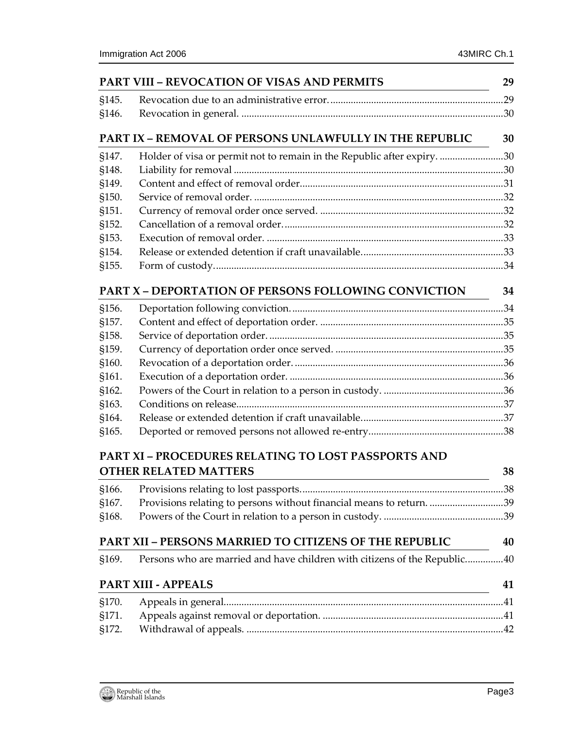|       | <b>PART VIII - REVOCATION OF VISAS AND PERMITS</b>                                                                                                 | 29 |
|-------|----------------------------------------------------------------------------------------------------------------------------------------------------|----|
| §145. |                                                                                                                                                    |    |
| §146. |                                                                                                                                                    |    |
|       | <b>PART IX - REMOVAL OF PERSONS UNLAWFULLY IN THE REPUBLIC</b>                                                                                     | 30 |
| §147. | Holder of visa or permit not to remain in the Republic after expiry. 30                                                                            |    |
| §148. |                                                                                                                                                    |    |
| §149. |                                                                                                                                                    |    |
| §150. |                                                                                                                                                    |    |
| §151. |                                                                                                                                                    |    |
| §152. |                                                                                                                                                    |    |
| §153. |                                                                                                                                                    |    |
| §154. |                                                                                                                                                    |    |
| §155. |                                                                                                                                                    |    |
|       | <b>PART X - DEPORTATION OF PERSONS FOLLOWING CONVICTION</b>                                                                                        | 34 |
| §156. |                                                                                                                                                    |    |
| §157. |                                                                                                                                                    |    |
| §158. |                                                                                                                                                    |    |
| §159. |                                                                                                                                                    |    |
| §160. |                                                                                                                                                    |    |
| §161. |                                                                                                                                                    |    |
| §162. |                                                                                                                                                    |    |
| §163. |                                                                                                                                                    |    |
| §164. |                                                                                                                                                    |    |
| §165. |                                                                                                                                                    |    |
|       | PART XI - PROCEDURES RELATING TO LOST PASSPORTS AND                                                                                                |    |
|       | <b>OTHER RELATED MATTERS</b>                                                                                                                       | 38 |
| §166. |                                                                                                                                                    |    |
| §167. | Provisions relating to persons without financial means to return. 39                                                                               |    |
| §168. |                                                                                                                                                    |    |
|       | <b>PART XII - PERSONS MARRIED TO CITIZENS OF THE REPUBLIC</b>                                                                                      | 40 |
| §169. | Persons who are married and have children with citizens of the Republic40                                                                          |    |
|       | <b>PART XIII - APPEALS</b><br><u> 1989 - Johann Barn, mars ann an t-Amhain Aonaich an t-Aonaich an t-Aonaich ann an t-Aonaich ann an t-Aonaich</u> | 41 |
| §170. |                                                                                                                                                    |    |
| §171. |                                                                                                                                                    |    |
| §172. |                                                                                                                                                    |    |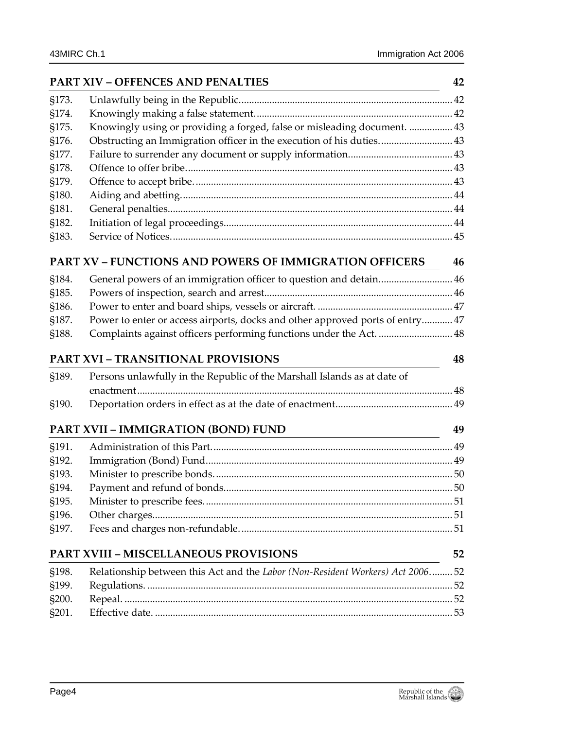|       | <b>PART XIV - OFFENCES AND PENALTIES</b>                                      | 42 |
|-------|-------------------------------------------------------------------------------|----|
| §173. |                                                                               |    |
| §174. |                                                                               |    |
| §175. | Knowingly using or providing a forged, false or misleading document.  43      |    |
| §176. | Obstructing an Immigration officer in the execution of his duties 43          |    |
| §177. |                                                                               |    |
| §178. |                                                                               |    |
| §179. |                                                                               |    |
| §180. |                                                                               |    |
| §181. |                                                                               |    |
| §182. |                                                                               |    |
| §183. |                                                                               |    |
|       | <b>PART XV - FUNCTIONS AND POWERS OF IMMIGRATION OFFICERS</b>                 | 46 |
| §184. | General powers of an immigration officer to question and detain 46            |    |
| §185. |                                                                               |    |
| §186. |                                                                               |    |
| §187. | Power to enter or access airports, docks and other approved ports of entry 47 |    |
| §188. | Complaints against officers performing functions under the Act.  48           |    |
|       | <b>PART XVI - TRANSITIONAL PROVISIONS</b>                                     | 48 |
| §189. | Persons unlawfully in the Republic of the Marshall Islands as at date of      |    |
|       |                                                                               |    |
| §190. |                                                                               |    |
|       | PART XVII - IMMIGRATION (BOND) FUND                                           | 49 |
| §191. |                                                                               |    |
| §192. |                                                                               |    |
| §193. |                                                                               |    |
| §194. |                                                                               |    |
| §195. |                                                                               |    |
| §196. |                                                                               |    |
| §197. |                                                                               |    |
|       | <b>PART XVIII - MISCELLANEOUS PROVISIONS</b>                                  | 52 |
| §198. | Relationship between this Act and the Labor (Non-Resident Workers) Act 2006   | 52 |
| §199. |                                                                               |    |
| §200. |                                                                               |    |
| §201. |                                                                               |    |
|       |                                                                               |    |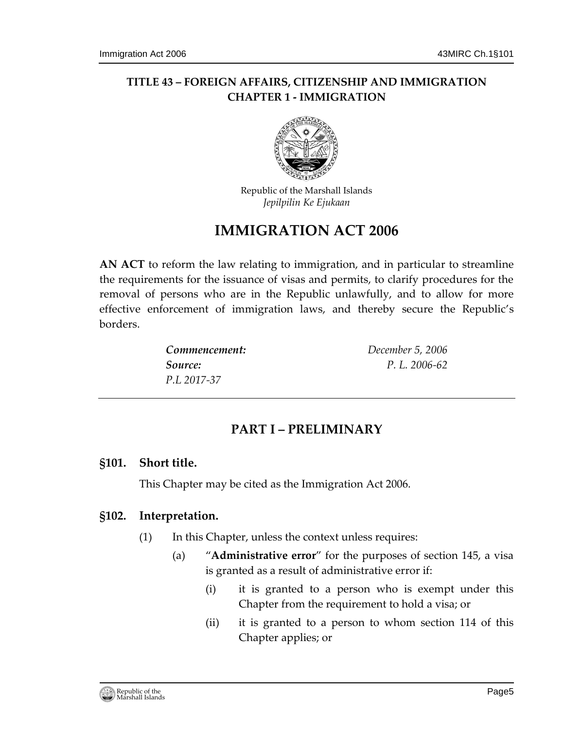# **TITLE 43 – FOREIGN AFFAIRS, CITIZENSHIP AND IMMIGRATION CHAPTER 1 - IMMIGRATION**



Republic of the Marshall Islands *Jepilpilin Ke Ejukaan*

# **IMMIGRATION ACT 2006**

**AN ACT** to reform the law relating to immigration, and in particular to streamline the requirements for the issuance of visas and permits, to clarify procedures for the removal of persons who are in the Republic unlawfully, and to allow for more effective enforcement of immigration laws, and thereby secure the Republic's borders.

| Commencement: | December 5, 2006 |
|---------------|------------------|
| Source:       | P.L. 2006-62     |
| P.L 2017-37   |                  |

# **PART I – PRELIMINARY**

### <span id="page-4-1"></span><span id="page-4-0"></span>**§101. Short title.**

This Chapter may be cited as the Immigration Act 2006.

# <span id="page-4-2"></span>**§102. Interpretation.**

- (1) In this Chapter, unless the context unless requires:
	- (a) "**Administrative error**" for the purposes of section 145, a visa is granted as a result of administrative error if:
		- (i) it is granted to a person who is exempt under this Chapter from the requirement to hold a visa; or
		- (ii) it is granted to a person to whom section 114 of this Chapter applies; or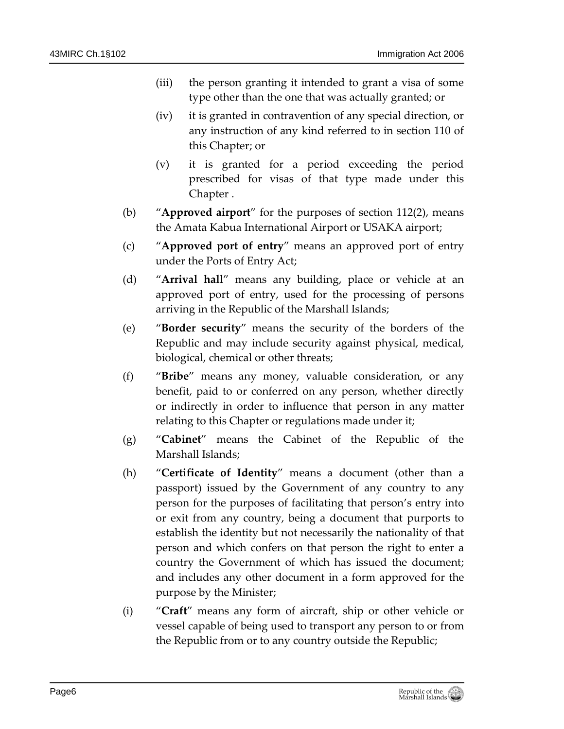- (iii) the person granting it intended to grant a visa of some type other than the one that was actually granted; or
- (iv) it is granted in contravention of any special direction, or any instruction of any kind referred to in section 110 of this Chapter; or
- (v) it is granted for a period exceeding the period prescribed for visas of that type made under this Chapter .
- (b) "**Approved airport**" for the purposes of section 112(2), means the Amata Kabua International Airport or USAKA airport;
- (c) "**Approved port of entry**" means an approved port of entry under the Ports of Entry Act;
- (d) "**Arrival hall**" means any building, place or vehicle at an approved port of entry, used for the processing of persons arriving in the Republic of the Marshall Islands;
- (e) "**Border security**" means the security of the borders of the Republic and may include security against physical, medical, biological, chemical or other threats;
- (f) "**Bribe**" means any money, valuable consideration, or any benefit, paid to or conferred on any person, whether directly or indirectly in order to influence that person in any matter relating to this Chapter or regulations made under it;
- (g) "**Cabinet**" means the Cabinet of the Republic of the Marshall Islands;
- (h) "**Certificate of Identity**" means a document (other than a passport) issued by the Government of any country to any person for the purposes of facilitating that person's entry into or exit from any country, being a document that purports to establish the identity but not necessarily the nationality of that person and which confers on that person the right to enter a country the Government of which has issued the document; and includes any other document in a form approved for the purpose by the Minister;
- (i) "**Craft**" means any form of aircraft, ship or other vehicle or vessel capable of being used to transport any person to or from the Republic from or to any country outside the Republic;

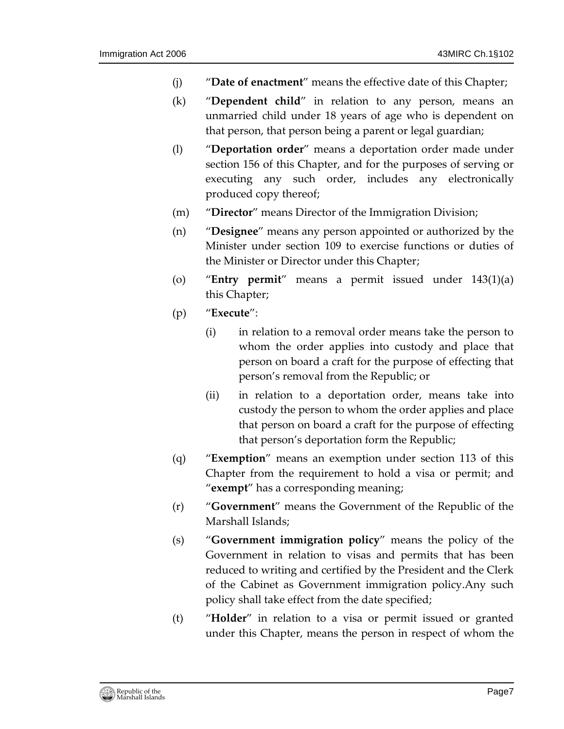- (j) "**Date of enactment**" means the effective date of this Chapter;
- (k) "**Dependent child**" in relation to any person, means an unmarried child under 18 years of age who is dependent on that person, that person being a parent or legal guardian;
- (l) "**Deportation order**" means a deportation order made under section 156 of this Chapter, and for the purposes of serving or executing any such order, includes any electronically produced copy thereof;
- (m) "**Director**" means Director of the Immigration Division;
- (n) "**Designee**" means any person appointed or authorized by the Minister under section 109 to exercise functions or duties of the Minister or Director under this Chapter;
- (o) "**Entry permit**" means a permit issued under 143(1)(a) this Chapter;
- (p) "**Execute**":
	- (i) in relation to a removal order means take the person to whom the order applies into custody and place that person on board a craft for the purpose of effecting that person's removal from the Republic; or
	- (ii) in relation to a deportation order, means take into custody the person to whom the order applies and place that person on board a craft for the purpose of effecting that person's deportation form the Republic;
- (q) "**Exemption**" means an exemption under section 113 of this Chapter from the requirement to hold a visa or permit; and "**exempt**" has a corresponding meaning;
- (r) "**Government**" means the Government of the Republic of the Marshall Islands;
- (s) "**Government immigration policy**" means the policy of the Government in relation to visas and permits that has been reduced to writing and certified by the President and the Clerk of the Cabinet as Government immigration policy.Any such policy shall take effect from the date specified;
- (t) "**Holder**" in relation to a visa or permit issued or granted under this Chapter, means the person in respect of whom the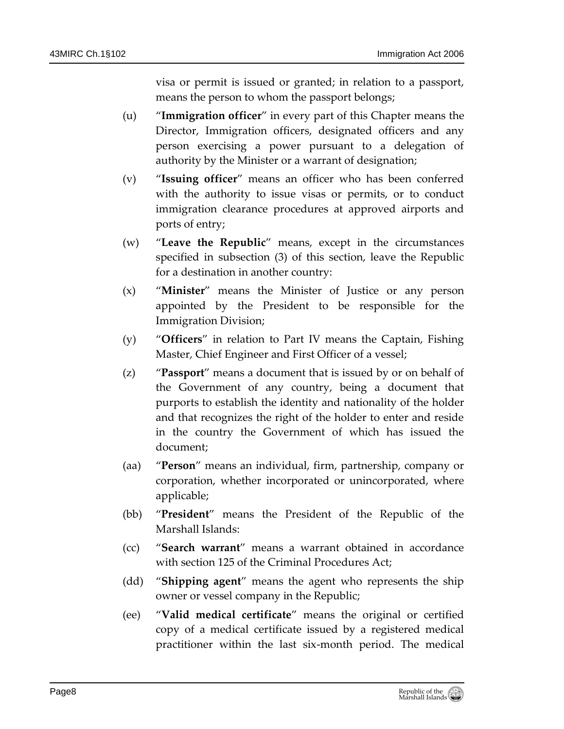visa or permit is issued or granted; in relation to a passport, means the person to whom the passport belongs;

- (u) "**Immigration officer**" in every part of this Chapter means the Director, Immigration officers, designated officers and any person exercising a power pursuant to a delegation of authority by the Minister or a warrant of designation;
- (v) "**Issuing officer**" means an officer who has been conferred with the authority to issue visas or permits, or to conduct immigration clearance procedures at approved airports and ports of entry;
- (w) "**Leave the Republic**" means, except in the circumstances specified in subsection (3) of this section, leave the Republic for a destination in another country:
- (x) "**Minister**" means the Minister of Justice or any person appointed by the President to be responsible for the Immigration Division;
- (y) "**Officers**" in relation to Part IV means the Captain, Fishing Master, Chief Engineer and First Officer of a vessel;
- (z) "**Passport**" means a document that is issued by or on behalf of the Government of any country, being a document that purports to establish the identity and nationality of the holder and that recognizes the right of the holder to enter and reside in the country the Government of which has issued the document;
- (aa) "**Person**" means an individual, firm, partnership, company or corporation, whether incorporated or unincorporated, where applicable;
- (bb) "**President**" means the President of the Republic of the Marshall Islands:
- (cc) "**Search warrant**" means a warrant obtained in accordance with section 125 of the Criminal Procedures Act;
- (dd) "**Shipping agent**" means the agent who represents the ship owner or vessel company in the Republic;
- (ee) "**Valid medical certificate**" means the original or certified copy of a medical certificate issued by a registered medical practitioner within the last six-month period. The medical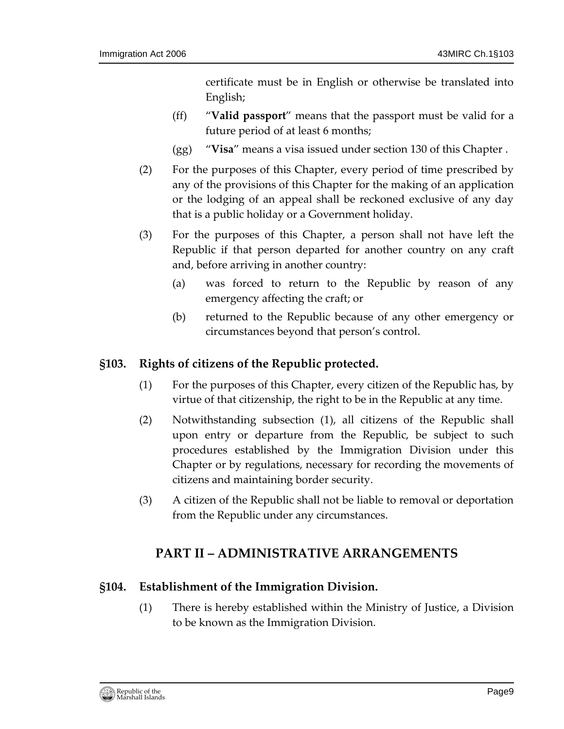certificate must be in English or otherwise be translated into English;

- (ff) "**Valid passport**" means that the passport must be valid for a future period of at least 6 months;
- (gg) "**Visa**" means a visa issued under section 130 of this Chapter .
- (2) For the purposes of this Chapter, every period of time prescribed by any of the provisions of this Chapter for the making of an application or the lodging of an appeal shall be reckoned exclusive of any day that is a public holiday or a Government holiday.
- (3) For the purposes of this Chapter, a person shall not have left the Republic if that person departed for another country on any craft and, before arriving in another country:
	- (a) was forced to return to the Republic by reason of any emergency affecting the craft; or
	- (b) returned to the Republic because of any other emergency or circumstances beyond that person's control.

## <span id="page-8-0"></span>**§103. Rights of citizens of the Republic protected.**

- (1) For the purposes of this Chapter, every citizen of the Republic has, by virtue of that citizenship, the right to be in the Republic at any time.
- (2) Notwithstanding subsection (1), all citizens of the Republic shall upon entry or departure from the Republic, be subject to such procedures established by the Immigration Division under this Chapter or by regulations, necessary for recording the movements of citizens and maintaining border security.
- <span id="page-8-1"></span>(3) A citizen of the Republic shall not be liable to removal or deportation from the Republic under any circumstances.

# **PART II – ADMINISTRATIVE ARRANGEMENTS**

#### <span id="page-8-2"></span>**§104. Establishment of the Immigration Division.**

(1) There is hereby established within the Ministry of Justice, a Division to be known as the Immigration Division.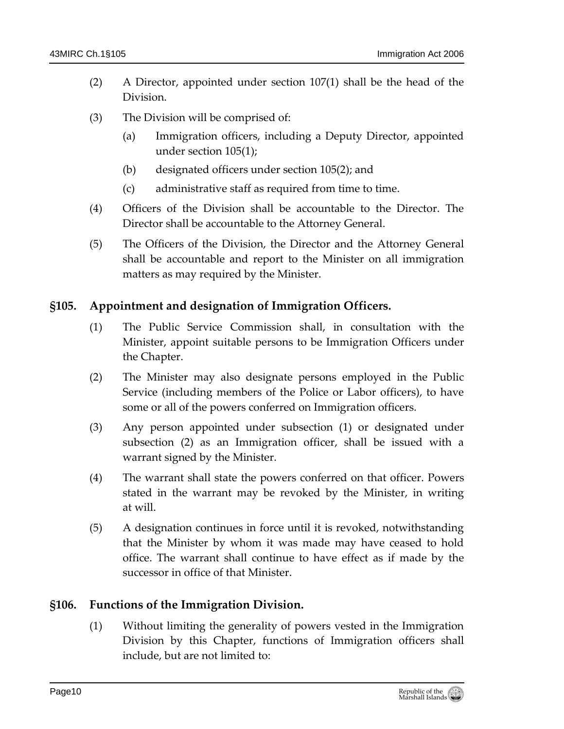- (2) A Director, appointed under section 107(1) shall be the head of the Division.
- (3) The Division will be comprised of:
	- (a) Immigration officers, including a Deputy Director, appointed under section 105(1);
	- (b) designated officers under section 105(2); and
	- (c) administrative staff as required from time to time.
- (4) Officers of the Division shall be accountable to the Director. The Director shall be accountable to the Attorney General.
- (5) The Officers of the Division, the Director and the Attorney General shall be accountable and report to the Minister on all immigration matters as may required by the Minister.

#### <span id="page-9-0"></span>**§105. Appointment and designation of Immigration Officers.**

- (1) The Public Service Commission shall, in consultation with the Minister, appoint suitable persons to be Immigration Officers under the Chapter.
- (2) The Minister may also designate persons employed in the Public Service (including members of the Police or Labor officers), to have some or all of the powers conferred on Immigration officers.
- (3) Any person appointed under subsection (1) or designated under subsection (2) as an Immigration officer, shall be issued with a warrant signed by the Minister.
- (4) The warrant shall state the powers conferred on that officer. Powers stated in the warrant may be revoked by the Minister, in writing at will.
- (5) A designation continues in force until it is revoked, notwithstanding that the Minister by whom it was made may have ceased to hold office. The warrant shall continue to have effect as if made by the successor in office of that Minister.

### <span id="page-9-1"></span>**§106. Functions of the Immigration Division.**

(1) Without limiting the generality of powers vested in the Immigration Division by this Chapter, functions of Immigration officers shall include, but are not limited to: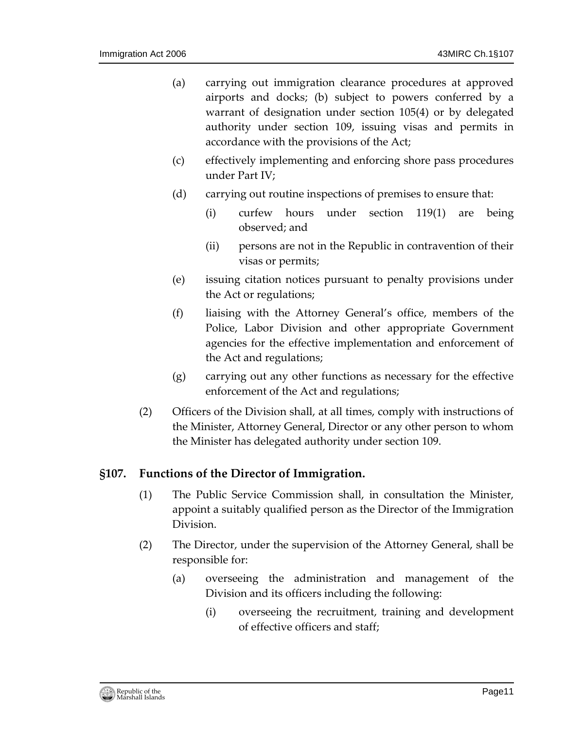- (a) carrying out immigration clearance procedures at approved airports and docks; (b) subject to powers conferred by a warrant of designation under section 105(4) or by delegated authority under section 109, issuing visas and permits in accordance with the provisions of the Act;
- (c) effectively implementing and enforcing shore pass procedures under Part IV;
- (d) carrying out routine inspections of premises to ensure that:
	- (i) curfew hours under section 119(1) are being observed; and
	- (ii) persons are not in the Republic in contravention of their visas or permits;
- (e) issuing citation notices pursuant to penalty provisions under the Act or regulations;
- (f) liaising with the Attorney General's office, members of the Police, Labor Division and other appropriate Government agencies for the effective implementation and enforcement of the Act and regulations;
- (g) carrying out any other functions as necessary for the effective enforcement of the Act and regulations;
- (2) Officers of the Division shall, at all times, comply with instructions of the Minister, Attorney General, Director or any other person to whom the Minister has delegated authority under section 109.

#### <span id="page-10-0"></span>**§107. Functions of the Director of Immigration.**

- (1) The Public Service Commission shall, in consultation the Minister, appoint a suitably qualified person as the Director of the Immigration Division.
- (2) The Director, under the supervision of the Attorney General, shall be responsible for:
	- (a) overseeing the administration and management of the Division and its officers including the following:
		- (i) overseeing the recruitment, training and development of effective officers and staff;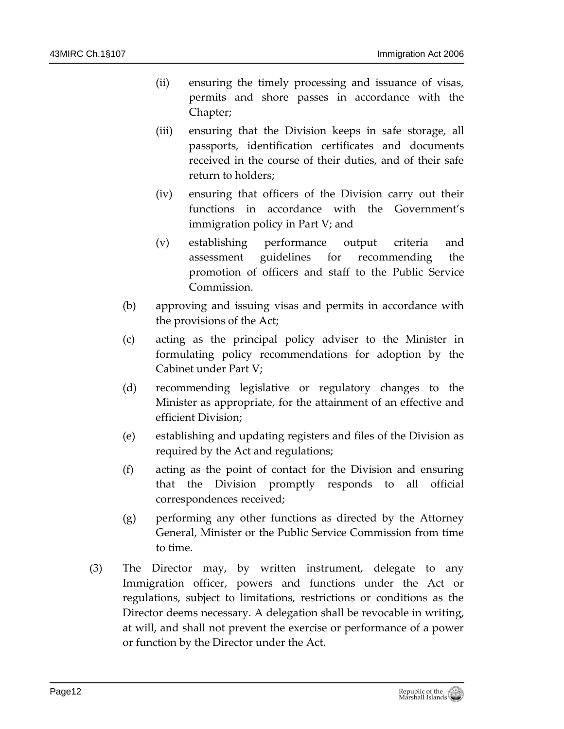- (ii) ensuring the timely processing and issuance of visas, permits and shore passes in accordance with the Chapter;
- (iii) ensuring that the Division keeps in safe storage, all passports, identification certificates and documents received in the course of their duties, and of their safe return to holders;
- (iv) ensuring that officers of the Division carry out their functions in accordance with the Government's immigration policy in Part V; and
- (v) establishing performance output criteria and assessment guidelines for recommending the promotion of officers and staff to the Public Service Commission.
- (b) approving and issuing visas and permits in accordance with the provisions of the Act;
- (c) acting as the principal policy adviser to the Minister in formulating policy recommendations for adoption by the Cabinet under Part V;
- (d) recommending legislative or regulatory changes to the Minister as appropriate, for the attainment of an effective and efficient Division;
- (e) establishing and updating registers and files of the Division as required by the Act and regulations;
- (f) acting as the point of contact for the Division and ensuring that the Division promptly responds to all official correspondences received;
- (g) performing any other functions as directed by the Attorney General, Minister or the Public Service Commission from time to time.
- (3) The Director may, by written instrument, delegate to any Immigration officer, powers and functions under the Act or regulations, subject to limitations, restrictions or conditions as the Director deems necessary. A delegation shall be revocable in writing, at will, and shall not prevent the exercise or performance of a power or function by the Director under the Act.

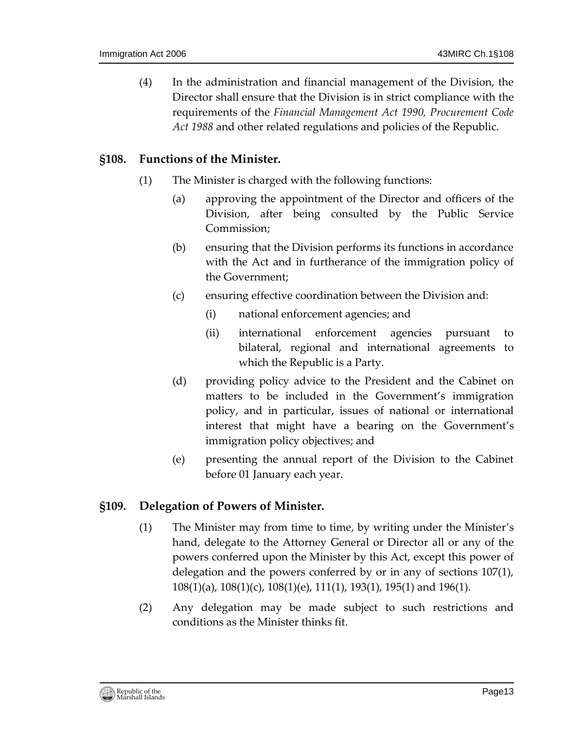(4) In the administration and financial management of the Division, the Director shall ensure that the Division is in strict compliance with the requirements of the *Financial Management Act 1990, Procurement Code Act 1988* and other related regulations and policies of the Republic.

#### <span id="page-12-0"></span>**§108. Functions of the Minister.**

- (1) The Minister is charged with the following functions:
	- (a) approving the appointment of the Director and officers of the Division, after being consulted by the Public Service Commission;
	- (b) ensuring that the Division performs its functions in accordance with the Act and in furtherance of the immigration policy of the Government;
	- (c) ensuring effective coordination between the Division and:
		- (i) national enforcement agencies; and
		- (ii) international enforcement agencies pursuant to bilateral, regional and international agreements to which the Republic is a Party.
	- (d) providing policy advice to the President and the Cabinet on matters to be included in the Government's immigration policy, and in particular, issues of national or international interest that might have a bearing on the Government's immigration policy objectives; and
	- (e) presenting the annual report of the Division to the Cabinet before 01 January each year.

### <span id="page-12-1"></span>**§109. Delegation of Powers of Minister.**

- (1) The Minister may from time to time, by writing under the Minister's hand, delegate to the Attorney General or Director all or any of the powers conferred upon the Minister by this Act, except this power of delegation and the powers conferred by or in any of sections 107(1), 108(1)(a), 108(1)(c), 108(1)(e), 111(1), 193(1), 195(1) and 196(1).
- (2) Any delegation may be made subject to such restrictions and conditions as the Minister thinks fit.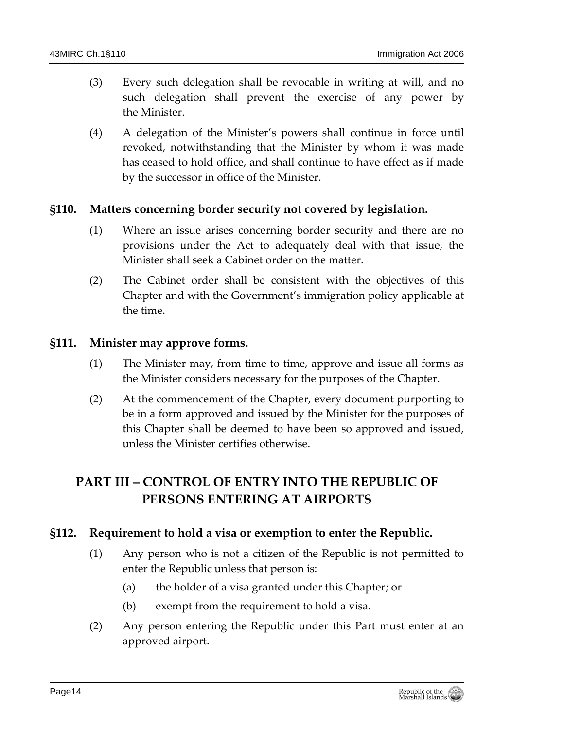- (3) Every such delegation shall be revocable in writing at will, and no such delegation shall prevent the exercise of any power by the Minister.
- (4) A delegation of the Minister's powers shall continue in force until revoked, notwithstanding that the Minister by whom it was made has ceased to hold office, and shall continue to have effect as if made by the successor in office of the Minister.

### <span id="page-13-0"></span>**§110. Matters concerning border security not covered by legislation.**

- (1) Where an issue arises concerning border security and there are no provisions under the Act to adequately deal with that issue, the Minister shall seek a Cabinet order on the matter.
- (2) The Cabinet order shall be consistent with the objectives of this Chapter and with the Government's immigration policy applicable at the time.

#### <span id="page-13-1"></span>**§111. Minister may approve forms.**

- (1) The Minister may, from time to time, approve and issue all forms as the Minister considers necessary for the purposes of the Chapter.
- (2) At the commencement of the Chapter, every document purporting to be in a form approved and issued by the Minister for the purposes of this Chapter shall be deemed to have been so approved and issued, unless the Minister certifies otherwise.

# <span id="page-13-2"></span>**PART III – CONTROL OF ENTRY INTO THE REPUBLIC OF PERSONS ENTERING AT AIRPORTS**

#### <span id="page-13-3"></span>**§112. Requirement to hold a visa or exemption to enter the Republic.**

- (1) Any person who is not a citizen of the Republic is not permitted to enter the Republic unless that person is:
	- (a) the holder of a visa granted under this Chapter; or
	- (b) exempt from the requirement to hold a visa.
- (2) Any person entering the Republic under this Part must enter at an approved airport.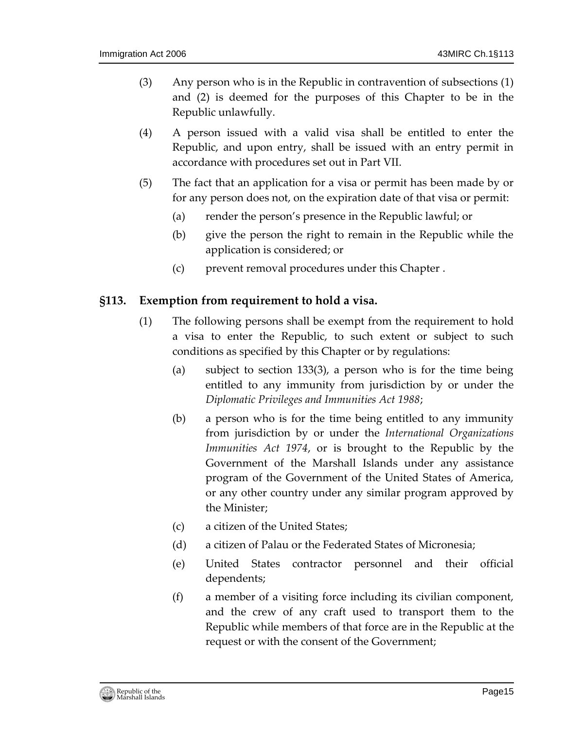- (3) Any person who is in the Republic in contravention of subsections (1) and (2) is deemed for the purposes of this Chapter to be in the Republic unlawfully.
- (4) A person issued with a valid visa shall be entitled to enter the Republic, and upon entry, shall be issued with an entry permit in accordance with procedures set out in Part VII.
- (5) The fact that an application for a visa or permit has been made by or for any person does not, on the expiration date of that visa or permit:
	- (a) render the person's presence in the Republic lawful; or
	- (b) give the person the right to remain in the Republic while the application is considered; or
	- (c) prevent removal procedures under this Chapter .

### <span id="page-14-0"></span>**§113. Exemption from requirement to hold a visa.**

- (1) The following persons shall be exempt from the requirement to hold a visa to enter the Republic, to such extent or subject to such conditions as specified by this Chapter or by regulations:
	- (a) subject to section 133(3), a person who is for the time being entitled to any immunity from jurisdiction by or under the *Diplomatic Privileges and Immunities Act 1988*;
	- (b) a person who is for the time being entitled to any immunity from jurisdiction by or under the *International Organizations Immunities Act 1974*, or is brought to the Republic by the Government of the Marshall Islands under any assistance program of the Government of the United States of America, or any other country under any similar program approved by the Minister;
	- (c) a citizen of the United States;
	- (d) a citizen of Palau or the Federated States of Micronesia;
	- (e) United States contractor personnel and their official dependents;
	- (f) a member of a visiting force including its civilian component, and the crew of any craft used to transport them to the Republic while members of that force are in the Republic at the request or with the consent of the Government;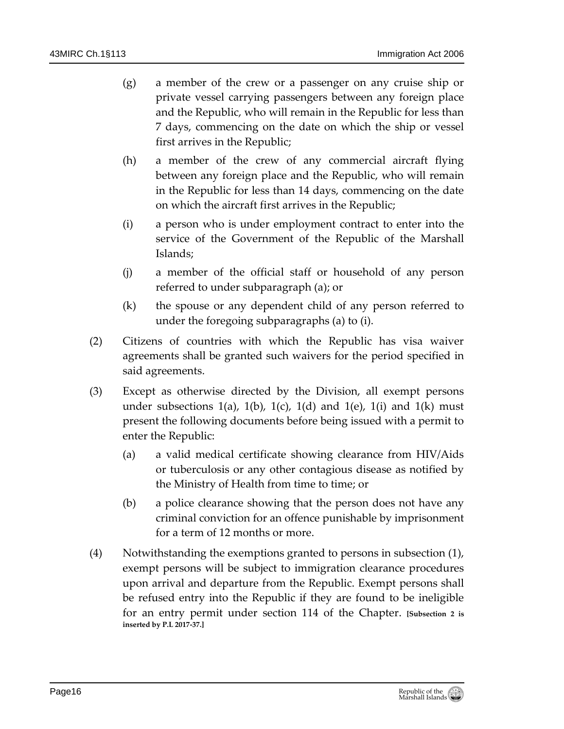- (g) a member of the crew or a passenger on any cruise ship or private vessel carrying passengers between any foreign place and the Republic, who will remain in the Republic for less than 7 days, commencing on the date on which the ship or vessel first arrives in the Republic;
- (h) a member of the crew of any commercial aircraft flying between any foreign place and the Republic, who will remain in the Republic for less than 14 days, commencing on the date on which the aircraft first arrives in the Republic;
- (i) a person who is under employment contract to enter into the service of the Government of the Republic of the Marshall Islands;
- (j) a member of the official staff or household of any person referred to under subparagraph (a); or
- (k) the spouse or any dependent child of any person referred to under the foregoing subparagraphs (a) to (i).
- (2) Citizens of countries with which the Republic has visa waiver agreements shall be granted such waivers for the period specified in said agreements.
- (3) Except as otherwise directed by the Division, all exempt persons under subsections  $1(a)$ ,  $1(b)$ ,  $1(c)$ ,  $1(d)$  and  $1(e)$ ,  $1(i)$  and  $1(k)$  must present the following documents before being issued with a permit to enter the Republic:
	- (a) a valid medical certificate showing clearance from HIV/Aids or tuberculosis or any other contagious disease as notified by the Ministry of Health from time to time; or
	- (b) a police clearance showing that the person does not have any criminal conviction for an offence punishable by imprisonment for a term of 12 months or more.
- (4) Notwithstanding the exemptions granted to persons in subsection (1), exempt persons will be subject to immigration clearance procedures upon arrival and departure from the Republic. Exempt persons shall be refused entry into the Republic if they are found to be ineligible for an entry permit under section 114 of the Chapter. **[Subsection 2 is inserted by P.L 2017-37.]**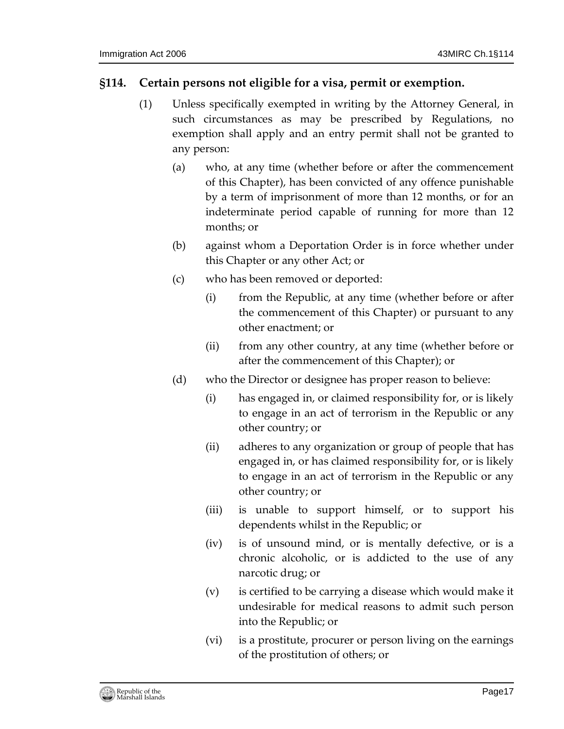### <span id="page-16-0"></span>**§114. Certain persons not eligible for a visa, permit or exemption.**

- (1) Unless specifically exempted in writing by the Attorney General, in such circumstances as may be prescribed by Regulations, no exemption shall apply and an entry permit shall not be granted to any person:
	- (a) who, at any time (whether before or after the commencement of this Chapter), has been convicted of any offence punishable by a term of imprisonment of more than 12 months, or for an indeterminate period capable of running for more than 12 months; or
	- (b) against whom a Deportation Order is in force whether under this Chapter or any other Act; or
	- (c) who has been removed or deported:
		- (i) from the Republic, at any time (whether before or after the commencement of this Chapter) or pursuant to any other enactment; or
		- (ii) from any other country, at any time (whether before or after the commencement of this Chapter); or
	- (d) who the Director or designee has proper reason to believe:
		- (i) has engaged in, or claimed responsibility for, or is likely to engage in an act of terrorism in the Republic or any other country; or
		- (ii) adheres to any organization or group of people that has engaged in, or has claimed responsibility for, or is likely to engage in an act of terrorism in the Republic or any other country; or
		- (iii) is unable to support himself, or to support his dependents whilst in the Republic; or
		- (iv) is of unsound mind, or is mentally defective, or is a chronic alcoholic, or is addicted to the use of any narcotic drug; or
		- (v) is certified to be carrying a disease which would make it undesirable for medical reasons to admit such person into the Republic; or
		- (vi) is a prostitute, procurer or person living on the earnings of the prostitution of others; or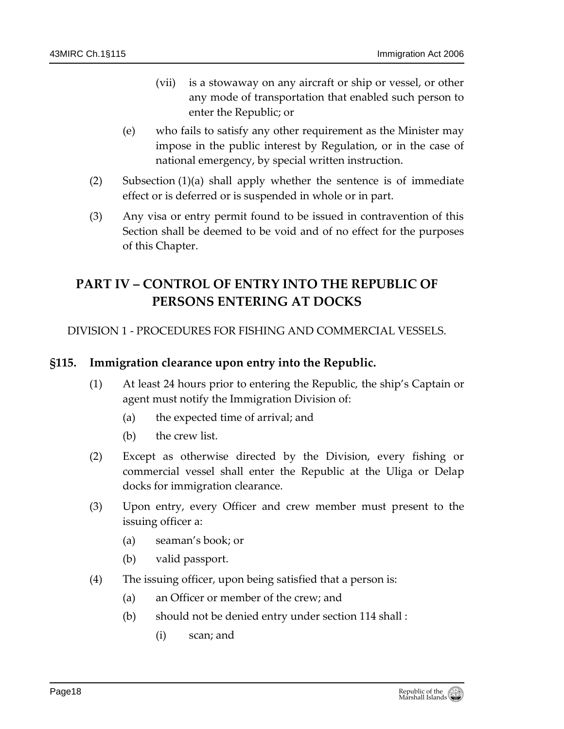- (vii) is a stowaway on any aircraft or ship or vessel, or other any mode of transportation that enabled such person to enter the Republic; or
- (e) who fails to satisfy any other requirement as the Minister may impose in the public interest by Regulation, or in the case of national emergency, by special written instruction.
- (2) Subsection (1)(a) shall apply whether the sentence is of immediate effect or is deferred or is suspended in whole or in part.
- (3) Any visa or entry permit found to be issued in contravention of this Section shall be deemed to be void and of no effect for the purposes of this Chapter.

# <span id="page-17-0"></span>**PART IV – CONTROL OF ENTRY INTO THE REPUBLIC OF PERSONS ENTERING AT DOCKS**

<span id="page-17-1"></span>DIVISION 1 - PROCEDURES FOR FISHING AND COMMERCIAL VESSELS.

### <span id="page-17-2"></span>**§115. Immigration clearance upon entry into the Republic.**

- (1) At least 24 hours prior to entering the Republic, the ship's Captain or agent must notify the Immigration Division of:
	- (a) the expected time of arrival; and
	- (b) the crew list.
- (2) Except as otherwise directed by the Division, every fishing or commercial vessel shall enter the Republic at the Uliga or Delap docks for immigration clearance.
- (3) Upon entry, every Officer and crew member must present to the issuing officer a:
	- (a) seaman's book; or
	- (b) valid passport.
- (4) The issuing officer, upon being satisfied that a person is:
	- (a) an Officer or member of the crew; and
	- (b) should not be denied entry under section 114 shall :
		- (i) scan; and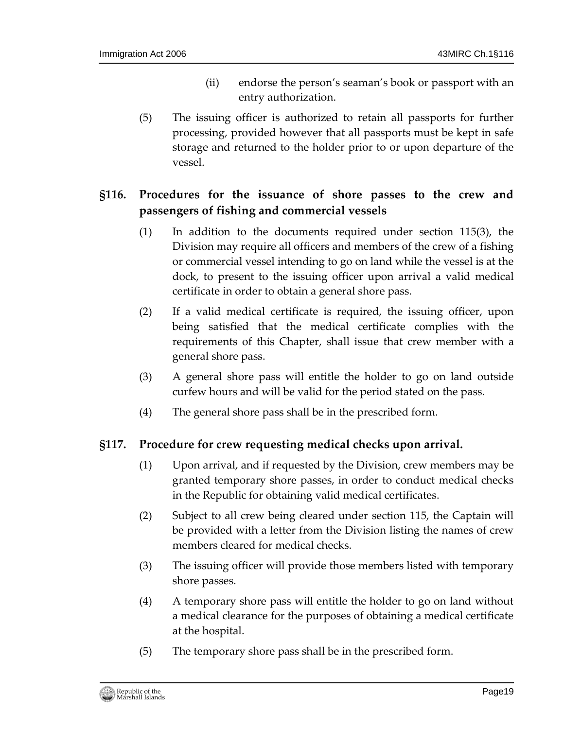- (ii) endorse the person's seaman's book or passport with an entry authorization.
- (5) The issuing officer is authorized to retain all passports for further processing, provided however that all passports must be kept in safe storage and returned to the holder prior to or upon departure of the vessel.

# <span id="page-18-0"></span>**§116. Procedures for the issuance of shore passes to the crew and passengers of fishing and commercial vessels**

- (1) In addition to the documents required under section 115(3), the Division may require all officers and members of the crew of a fishing or commercial vessel intending to go on land while the vessel is at the dock, to present to the issuing officer upon arrival a valid medical certificate in order to obtain a general shore pass.
- (2) If a valid medical certificate is required, the issuing officer, upon being satisfied that the medical certificate complies with the requirements of this Chapter, shall issue that crew member with a general shore pass.
- (3) A general shore pass will entitle the holder to go on land outside curfew hours and will be valid for the period stated on the pass.
- (4) The general shore pass shall be in the prescribed form.

### <span id="page-18-1"></span>**§117. Procedure for crew requesting medical checks upon arrival.**

- (1) Upon arrival, and if requested by the Division, crew members may be granted temporary shore passes, in order to conduct medical checks in the Republic for obtaining valid medical certificates.
- (2) Subject to all crew being cleared under section 115, the Captain will be provided with a letter from the Division listing the names of crew members cleared for medical checks.
- (3) The issuing officer will provide those members listed with temporary shore passes.
- (4) A temporary shore pass will entitle the holder to go on land without a medical clearance for the purposes of obtaining a medical certificate at the hospital.
- (5) The temporary shore pass shall be in the prescribed form.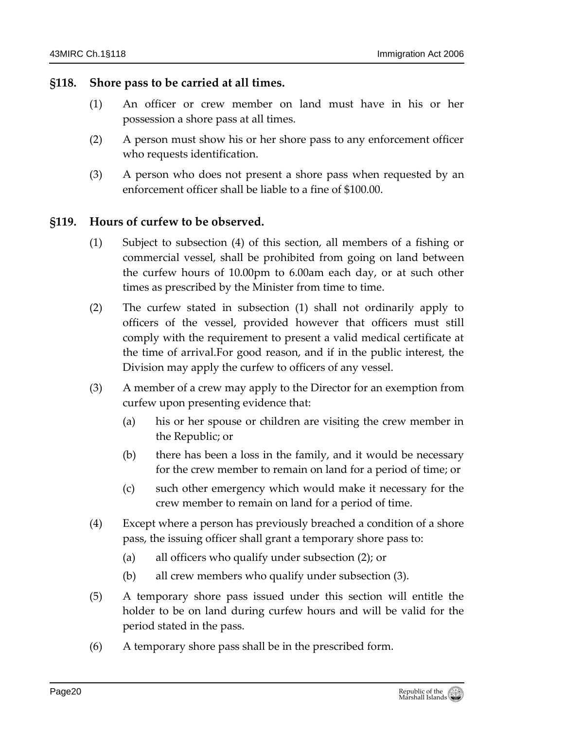#### <span id="page-19-0"></span>**§118. Shore pass to be carried at all times.**

- (1) An officer or crew member on land must have in his or her possession a shore pass at all times.
- (2) A person must show his or her shore pass to any enforcement officer who requests identification.
- (3) A person who does not present a shore pass when requested by an enforcement officer shall be liable to a fine of \$100.00.

#### <span id="page-19-1"></span>**§119. Hours of curfew to be observed.**

- (1) Subject to subsection (4) of this section, all members of a fishing or commercial vessel, shall be prohibited from going on land between the curfew hours of 10.00pm to 6.00am each day, or at such other times as prescribed by the Minister from time to time.
- (2) The curfew stated in subsection (1) shall not ordinarily apply to officers of the vessel, provided however that officers must still comply with the requirement to present a valid medical certificate at the time of arrival.For good reason, and if in the public interest, the Division may apply the curfew to officers of any vessel.
- (3) A member of a crew may apply to the Director for an exemption from curfew upon presenting evidence that:
	- (a) his or her spouse or children are visiting the crew member in the Republic; or
	- (b) there has been a loss in the family, and it would be necessary for the crew member to remain on land for a period of time; or
	- (c) such other emergency which would make it necessary for the crew member to remain on land for a period of time.
- (4) Except where a person has previously breached a condition of a shore pass, the issuing officer shall grant a temporary shore pass to:
	- (a) all officers who qualify under subsection (2); or
	- (b) all crew members who qualify under subsection (3).
- (5) A temporary shore pass issued under this section will entitle the holder to be on land during curfew hours and will be valid for the period stated in the pass.
- (6) A temporary shore pass shall be in the prescribed form.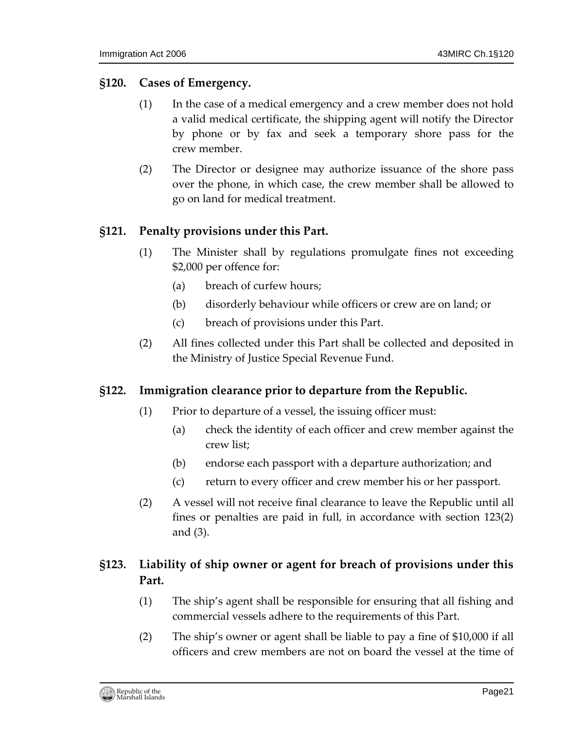#### <span id="page-20-0"></span>**§120. Cases of Emergency.**

- (1) In the case of a medical emergency and a crew member does not hold a valid medical certificate, the shipping agent will notify the Director by phone or by fax and seek a temporary shore pass for the crew member.
- (2) The Director or designee may authorize issuance of the shore pass over the phone, in which case, the crew member shall be allowed to go on land for medical treatment.

#### <span id="page-20-1"></span>**§121. Penalty provisions under this Part.**

- (1) The Minister shall by regulations promulgate fines not exceeding \$2,000 per offence for:
	- (a) breach of curfew hours;
	- (b) disorderly behaviour while officers or crew are on land; or
	- (c) breach of provisions under this Part.
- (2) All fines collected under this Part shall be collected and deposited in the Ministry of Justice Special Revenue Fund.

#### <span id="page-20-2"></span>**§122. Immigration clearance prior to departure from the Republic.**

- (1) Prior to departure of a vessel, the issuing officer must:
	- (a) check the identity of each officer and crew member against the crew list;
	- (b) endorse each passport with a departure authorization; and
	- (c) return to every officer and crew member his or her passport.
- (2) A vessel will not receive final clearance to leave the Republic until all fines or penalties are paid in full, in accordance with section 123(2) and (3).

# <span id="page-20-3"></span>**§123. Liability of ship owner or agent for breach of provisions under this Part.**

- (1) The ship's agent shall be responsible for ensuring that all fishing and commercial vessels adhere to the requirements of this Part.
- (2) The ship's owner or agent shall be liable to pay a fine of \$10,000 if all officers and crew members are not on board the vessel at the time of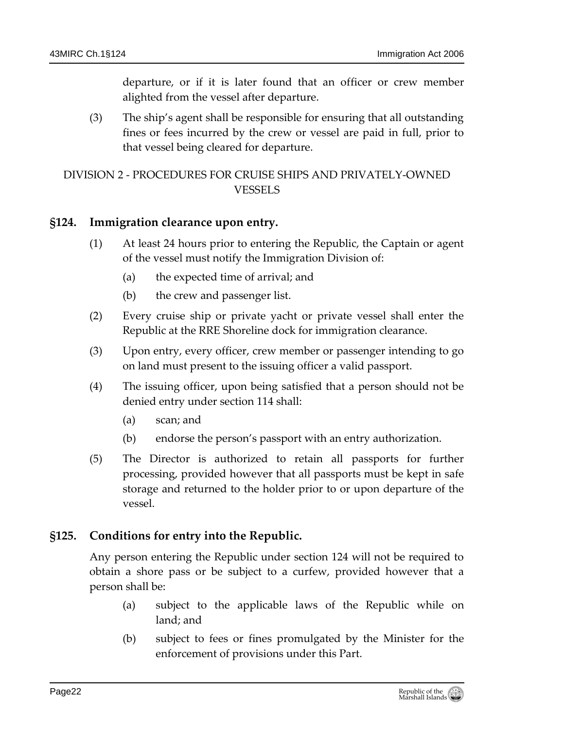departure, or if it is later found that an officer or crew member alighted from the vessel after departure.

(3) The ship's agent shall be responsible for ensuring that all outstanding fines or fees incurred by the crew or vessel are paid in full, prior to that vessel being cleared for departure.

# <span id="page-21-0"></span>DIVISION 2 - PROCEDURES FOR CRUISE SHIPS AND PRIVATELY-OWNED VESSELS

### <span id="page-21-1"></span>**§124. Immigration clearance upon entry.**

- (1) At least 24 hours prior to entering the Republic, the Captain or agent of the vessel must notify the Immigration Division of:
	- (a) the expected time of arrival; and
	- (b) the crew and passenger list.
- (2) Every cruise ship or private yacht or private vessel shall enter the Republic at the RRE Shoreline dock for immigration clearance.
- (3) Upon entry, every officer, crew member or passenger intending to go on land must present to the issuing officer a valid passport.
- (4) The issuing officer, upon being satisfied that a person should not be denied entry under section 114 shall:
	- (a) scan; and
	- (b) endorse the person's passport with an entry authorization.
- (5) The Director is authorized to retain all passports for further processing, provided however that all passports must be kept in safe storage and returned to the holder prior to or upon departure of the vessel.

# <span id="page-21-2"></span>**§125. Conditions for entry into the Republic.**

Any person entering the Republic under section 124 will not be required to obtain a shore pass or be subject to a curfew, provided however that a person shall be:

- (a) subject to the applicable laws of the Republic while on land; and
- (b) subject to fees or fines promulgated by the Minister for the enforcement of provisions under this Part.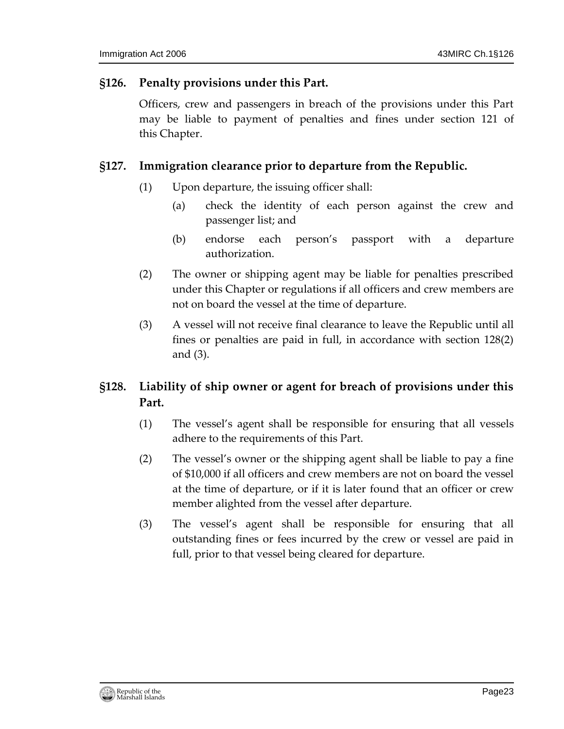#### <span id="page-22-0"></span>**§126. Penalty provisions under this Part.**

Officers, crew and passengers in breach of the provisions under this Part may be liable to payment of penalties and fines under section 121 of this Chapter.

### <span id="page-22-1"></span>**§127. Immigration clearance prior to departure from the Republic.**

- (1) Upon departure, the issuing officer shall:
	- (a) check the identity of each person against the crew and passenger list; and
	- (b) endorse each person's passport with a departure authorization.
- (2) The owner or shipping agent may be liable for penalties prescribed under this Chapter or regulations if all officers and crew members are not on board the vessel at the time of departure.
- (3) A vessel will not receive final clearance to leave the Republic until all fines or penalties are paid in full, in accordance with section 128(2) and (3).

# <span id="page-22-2"></span>**§128. Liability of ship owner or agent for breach of provisions under this Part.**

- (1) The vessel's agent shall be responsible for ensuring that all vessels adhere to the requirements of this Part.
- (2) The vessel's owner or the shipping agent shall be liable to pay a fine of \$10,000 if all officers and crew members are not on board the vessel at the time of departure, or if it is later found that an officer or crew member alighted from the vessel after departure.
- (3) The vessel's agent shall be responsible for ensuring that all outstanding fines or fees incurred by the crew or vessel are paid in full, prior to that vessel being cleared for departure.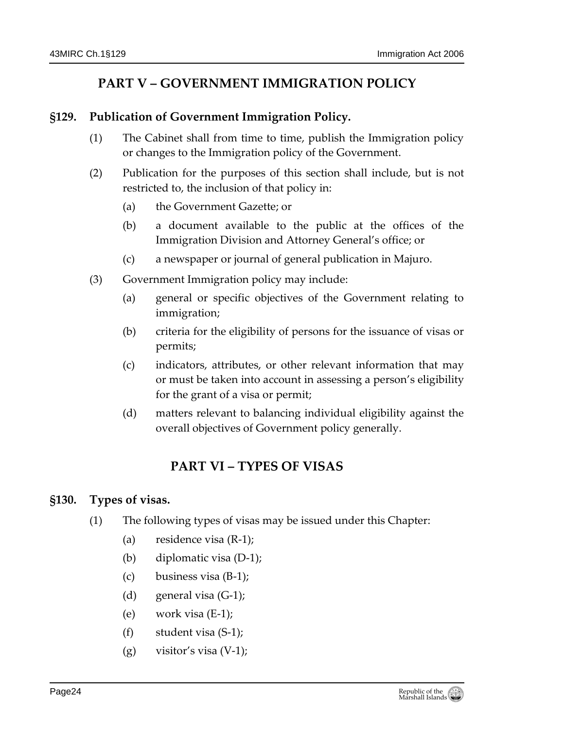# **PART V – GOVERNMENT IMMIGRATION POLICY**

#### <span id="page-23-1"></span><span id="page-23-0"></span>**§129. Publication of Government Immigration Policy.**

- (1) The Cabinet shall from time to time, publish the Immigration policy or changes to the Immigration policy of the Government.
- (2) Publication for the purposes of this section shall include, but is not restricted to, the inclusion of that policy in:
	- (a) the Government Gazette; or
	- (b) a document available to the public at the offices of the Immigration Division and Attorney General's office; or
	- (c) a newspaper or journal of general publication in Majuro.
- (3) Government Immigration policy may include:
	- (a) general or specific objectives of the Government relating to immigration;
	- (b) criteria for the eligibility of persons for the issuance of visas or permits;
	- (c) indicators, attributes, or other relevant information that may or must be taken into account in assessing a person's eligibility for the grant of a visa or permit;
	- (d) matters relevant to balancing individual eligibility against the overall objectives of Government policy generally.

# **PART VI – TYPES OF VISAS**

### <span id="page-23-3"></span><span id="page-23-2"></span>**§130. Types of visas.**

- (1) The following types of visas may be issued under this Chapter:
	- (a) residence visa (R-1);
	- (b) diplomatic visa (D-1);
	- (c) business visa (B-1);
	- (d) general visa (G-1);
	- (e) work visa (E-1);
	- (f) student visa (S-1);
	- $(g)$  visitor's visa  $(V-1)$ ;

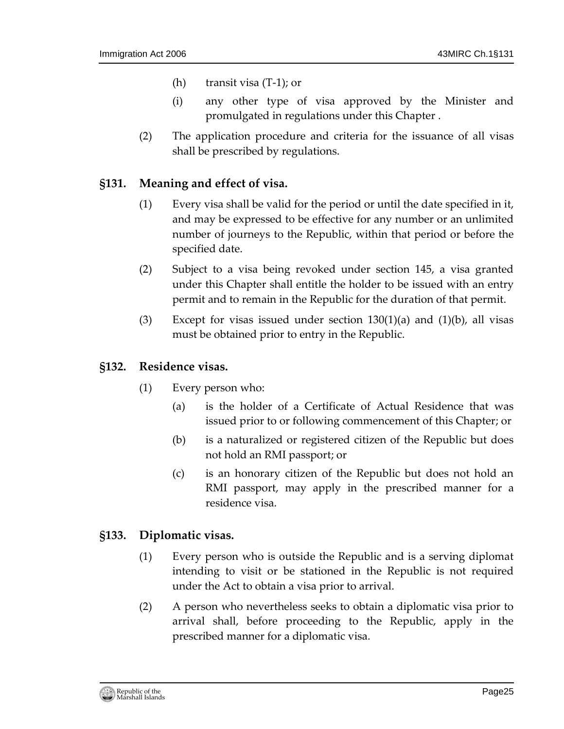- (h) transit visa (T-1); or
- (i) any other type of visa approved by the Minister and promulgated in regulations under this Chapter .
- (2) The application procedure and criteria for the issuance of all visas shall be prescribed by regulations.

#### <span id="page-24-0"></span>**§131. Meaning and effect of visa.**

- (1) Every visa shall be valid for the period or until the date specified in it, and may be expressed to be effective for any number or an unlimited number of journeys to the Republic, within that period or before the specified date.
- (2) Subject to a visa being revoked under section 145, a visa granted under this Chapter shall entitle the holder to be issued with an entry permit and to remain in the Republic for the duration of that permit.
- (3) Except for visas issued under section  $130(1)(a)$  and  $(1)(b)$ , all visas must be obtained prior to entry in the Republic.

#### <span id="page-24-1"></span>**§132. Residence visas.**

- (1) Every person who:
	- (a) is the holder of a Certificate of Actual Residence that was issued prior to or following commencement of this Chapter; or
	- (b) is a naturalized or registered citizen of the Republic but does not hold an RMI passport; or
	- (c) is an honorary citizen of the Republic but does not hold an RMI passport, may apply in the prescribed manner for a residence visa.

#### <span id="page-24-2"></span>**§133. Diplomatic visas.**

- (1) Every person who is outside the Republic and is a serving diplomat intending to visit or be stationed in the Republic is not required under the Act to obtain a visa prior to arrival.
- (2) A person who nevertheless seeks to obtain a diplomatic visa prior to arrival shall, before proceeding to the Republic, apply in the prescribed manner for a diplomatic visa.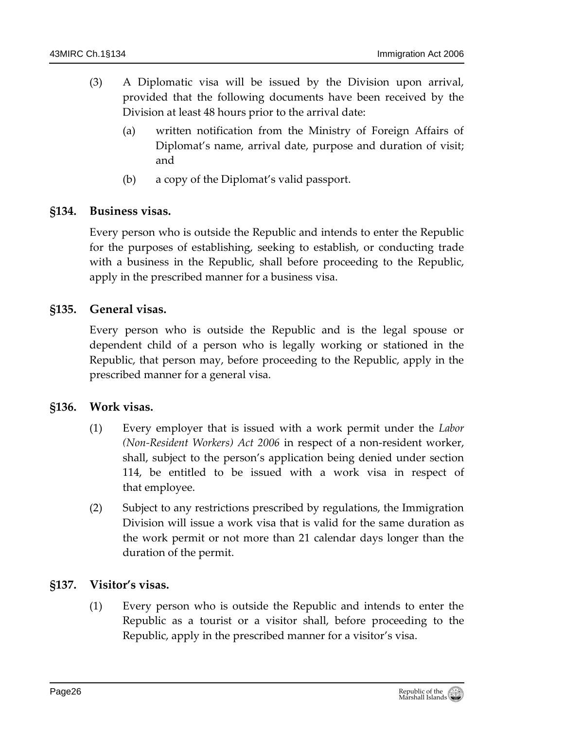- (3) A Diplomatic visa will be issued by the Division upon arrival, provided that the following documents have been received by the Division at least 48 hours prior to the arrival date:
	- (a) written notification from the Ministry of Foreign Affairs of Diplomat's name, arrival date, purpose and duration of visit; and
	- (b) a copy of the Diplomat's valid passport.

## <span id="page-25-0"></span>**§134. Business visas.**

Every person who is outside the Republic and intends to enter the Republic for the purposes of establishing, seeking to establish, or conducting trade with a business in the Republic, shall before proceeding to the Republic, apply in the prescribed manner for a business visa.

### <span id="page-25-1"></span>**§135. General visas.**

Every person who is outside the Republic and is the legal spouse or dependent child of a person who is legally working or stationed in the Republic, that person may, before proceeding to the Republic, apply in the prescribed manner for a general visa.

#### <span id="page-25-2"></span>**§136. Work visas.**

- (1) Every employer that is issued with a work permit under the *Labor (Non-Resident Workers) Act 2006* in respect of a non-resident worker, shall, subject to the person's application being denied under section 114, be entitled to be issued with a work visa in respect of that employee.
- (2) Subject to any restrictions prescribed by regulations, the Immigration Division will issue a work visa that is valid for the same duration as the work permit or not more than 21 calendar days longer than the duration of the permit.

### <span id="page-25-3"></span>**§137. Visitor's visas.**

(1) Every person who is outside the Republic and intends to enter the Republic as a tourist or a visitor shall, before proceeding to the Republic, apply in the prescribed manner for a visitor's visa.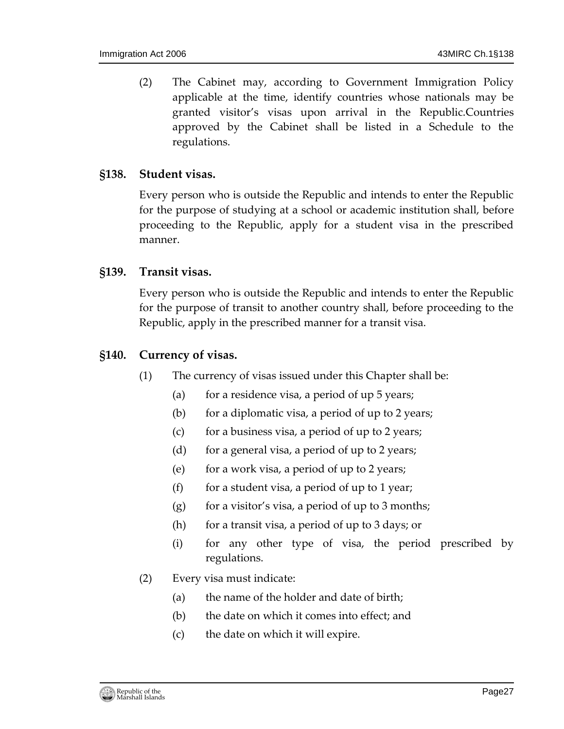(2) The Cabinet may, according to Government Immigration Policy applicable at the time, identify countries whose nationals may be granted visitor's visas upon arrival in the Republic.Countries approved by the Cabinet shall be listed in a Schedule to the regulations.

#### <span id="page-26-0"></span>**§138. Student visas.**

Every person who is outside the Republic and intends to enter the Republic for the purpose of studying at a school or academic institution shall, before proceeding to the Republic, apply for a student visa in the prescribed manner.

#### <span id="page-26-1"></span>**§139. Transit visas.**

Every person who is outside the Republic and intends to enter the Republic for the purpose of transit to another country shall, before proceeding to the Republic, apply in the prescribed manner for a transit visa.

#### <span id="page-26-2"></span>**§140. Currency of visas.**

- (1) The currency of visas issued under this Chapter shall be:
	- (a) for a residence visa, a period of up  $5$  years;
	- (b) for a diplomatic visa, a period of up to 2 years;
	- (c) for a business visa, a period of up to 2 years;
	- (d) for a general visa, a period of up to 2 years;
	- (e) for a work visa, a period of up to 2 years;
	- (f) for a student visa, a period of up to 1 year;
	- $(g)$  for a visitor's visa, a period of up to 3 months;
	- (h) for a transit visa, a period of up to 3 days; or
	- (i) for any other type of visa, the period prescribed by regulations.
- (2) Every visa must indicate:
	- (a) the name of the holder and date of birth;
	- (b) the date on which it comes into effect; and
	- (c) the date on which it will expire.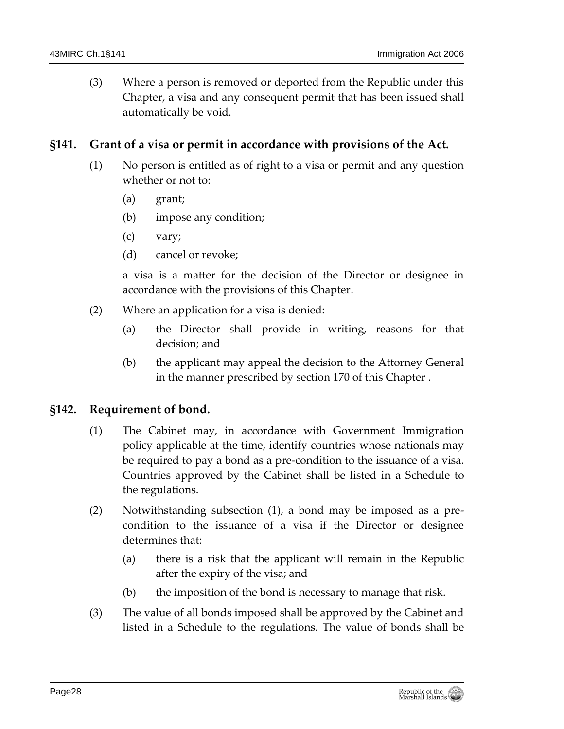(3) Where a person is removed or deported from the Republic under this Chapter, a visa and any consequent permit that has been issued shall automatically be void.

### <span id="page-27-0"></span>**§141. Grant of a visa or permit in accordance with provisions of the Act.**

- (1) No person is entitled as of right to a visa or permit and any question whether or not to:
	- (a) grant;
	- (b) impose any condition;
	- (c) vary;
	- (d) cancel or revoke;

a visa is a matter for the decision of the Director or designee in accordance with the provisions of this Chapter.

- (2) Where an application for a visa is denied:
	- (a) the Director shall provide in writing, reasons for that decision; and
	- (b) the applicant may appeal the decision to the Attorney General in the manner prescribed by section 170 of this Chapter .

### <span id="page-27-1"></span>**§142. Requirement of bond.**

- (1) The Cabinet may, in accordance with Government Immigration policy applicable at the time, identify countries whose nationals may be required to pay a bond as a pre-condition to the issuance of a visa. Countries approved by the Cabinet shall be listed in a Schedule to the regulations.
- (2) Notwithstanding subsection (1), a bond may be imposed as a precondition to the issuance of a visa if the Director or designee determines that:
	- (a) there is a risk that the applicant will remain in the Republic after the expiry of the visa; and
	- (b) the imposition of the bond is necessary to manage that risk.
- (3) The value of all bonds imposed shall be approved by the Cabinet and listed in a Schedule to the regulations. The value of bonds shall be

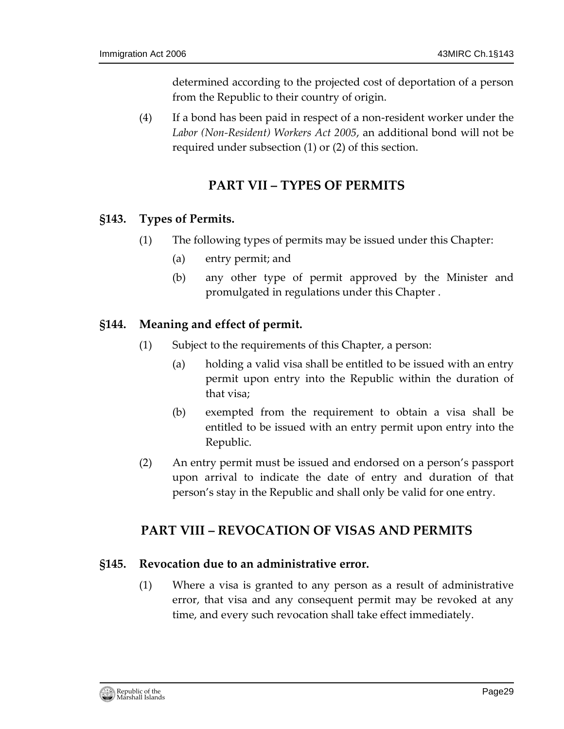determined according to the projected cost of deportation of a person from the Republic to their country of origin.

(4) If a bond has been paid in respect of a non-resident worker under the *Labor (Non-Resident) Workers Act 2005*, an additional bond will not be required under subsection (1) or (2) of this section.

# **PART VII – TYPES OF PERMITS**

## <span id="page-28-1"></span><span id="page-28-0"></span>**§143. Types of Permits.**

- (1) The following types of permits may be issued under this Chapter:
	- (a) entry permit; and
	- (b) any other type of permit approved by the Minister and promulgated in regulations under this Chapter .

## <span id="page-28-2"></span>**§144. Meaning and effect of permit.**

- (1) Subject to the requirements of this Chapter, a person:
	- (a) holding a valid visa shall be entitled to be issued with an entry permit upon entry into the Republic within the duration of that visa;
	- (b) exempted from the requirement to obtain a visa shall be entitled to be issued with an entry permit upon entry into the Republic.
- (2) An entry permit must be issued and endorsed on a person's passport upon arrival to indicate the date of entry and duration of that person's stay in the Republic and shall only be valid for one entry.

# <span id="page-28-3"></span>**PART VIII – REVOCATION OF VISAS AND PERMITS**

### <span id="page-28-4"></span>**§145. Revocation due to an administrative error.**

(1) Where a visa is granted to any person as a result of administrative error, that visa and any consequent permit may be revoked at any time, and every such revocation shall take effect immediately.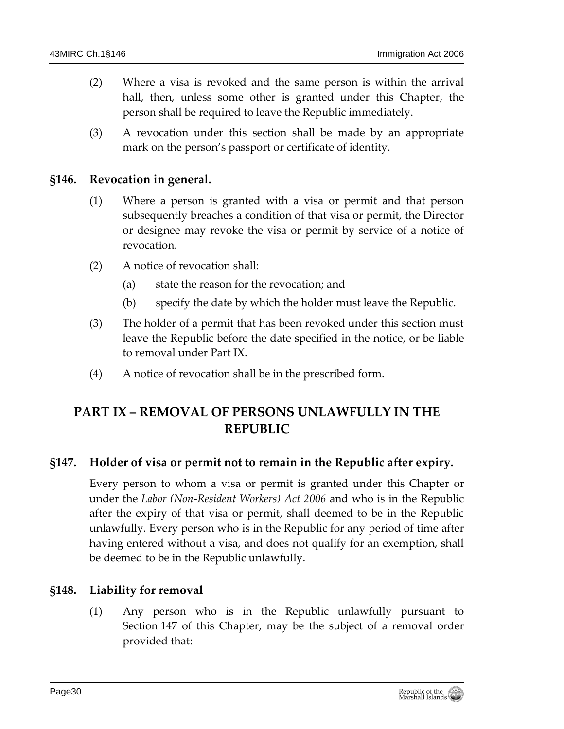- (2) Where a visa is revoked and the same person is within the arrival hall, then, unless some other is granted under this Chapter, the person shall be required to leave the Republic immediately.
- (3) A revocation under this section shall be made by an appropriate mark on the person's passport or certificate of identity.

### <span id="page-29-0"></span>**§146. Revocation in general.**

- (1) Where a person is granted with a visa or permit and that person subsequently breaches a condition of that visa or permit, the Director or designee may revoke the visa or permit by service of a notice of revocation.
- (2) A notice of revocation shall:
	- (a) state the reason for the revocation; and
	- (b) specify the date by which the holder must leave the Republic.
- (3) The holder of a permit that has been revoked under this section must leave the Republic before the date specified in the notice, or be liable to removal under Part IX.
- (4) A notice of revocation shall be in the prescribed form.

# <span id="page-29-1"></span>**PART IX – REMOVAL OF PERSONS UNLAWFULLY IN THE REPUBLIC**

### <span id="page-29-2"></span>**§147. Holder of visa or permit not to remain in the Republic after expiry.**

Every person to whom a visa or permit is granted under this Chapter or under the *Labor (Non-Resident Workers) Act 2006* and who is in the Republic after the expiry of that visa or permit, shall deemed to be in the Republic unlawfully. Every person who is in the Republic for any period of time after having entered without a visa, and does not qualify for an exemption, shall be deemed to be in the Republic unlawfully.

#### <span id="page-29-3"></span>**§148. Liability for removal**

(1) Any person who is in the Republic unlawfully pursuant to Section 147 of this Chapter, may be the subject of a removal order provided that: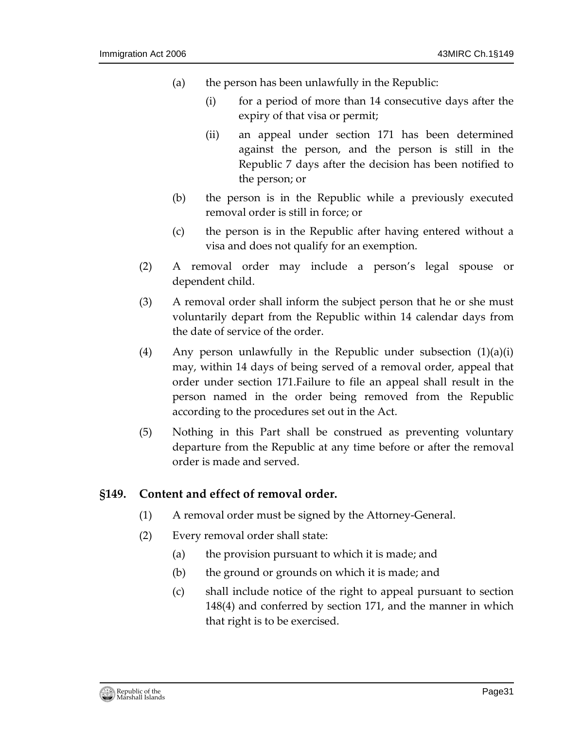- (a) the person has been unlawfully in the Republic:
	- (i) for a period of more than 14 consecutive days after the expiry of that visa or permit;
	- (ii) an appeal under section 171 has been determined against the person, and the person is still in the Republic 7 days after the decision has been notified to the person; or
- (b) the person is in the Republic while a previously executed removal order is still in force; or
- (c) the person is in the Republic after having entered without a visa and does not qualify for an exemption.
- (2) A removal order may include a person's legal spouse or dependent child.
- (3) A removal order shall inform the subject person that he or she must voluntarily depart from the Republic within 14 calendar days from the date of service of the order.
- (4) Any person unlawfully in the Republic under subsection  $(1)(a)(i)$ may, within 14 days of being served of a removal order, appeal that order under section 171.Failure to file an appeal shall result in the person named in the order being removed from the Republic according to the procedures set out in the Act.
- (5) Nothing in this Part shall be construed as preventing voluntary departure from the Republic at any time before or after the removal order is made and served.

#### <span id="page-30-0"></span>**§149. Content and effect of removal order.**

- (1) A removal order must be signed by the Attorney-General.
- (2) Every removal order shall state:
	- (a) the provision pursuant to which it is made; and
	- (b) the ground or grounds on which it is made; and
	- (c) shall include notice of the right to appeal pursuant to section 148(4) and conferred by section 171, and the manner in which that right is to be exercised.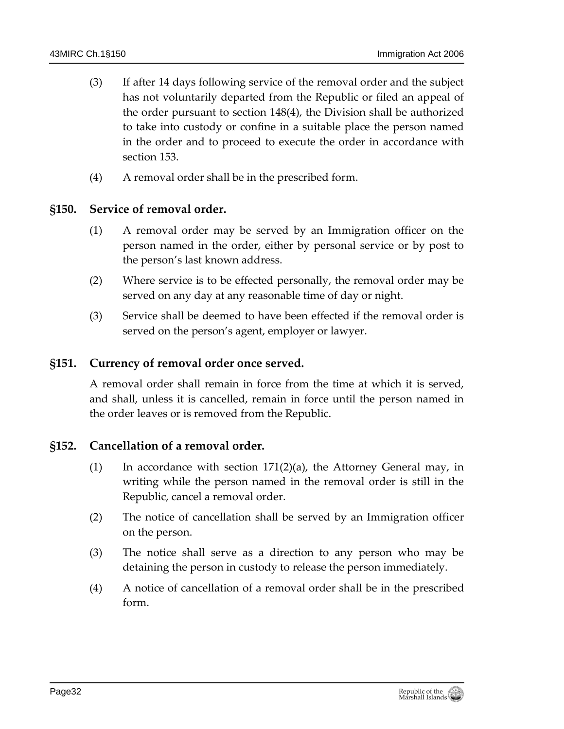- (3) If after 14 days following service of the removal order and the subject has not voluntarily departed from the Republic or filed an appeal of the order pursuant to section 148(4), the Division shall be authorized to take into custody or confine in a suitable place the person named in the order and to proceed to execute the order in accordance with section 153.
- (4) A removal order shall be in the prescribed form.

### <span id="page-31-0"></span>**§150. Service of removal order.**

- (1) A removal order may be served by an Immigration officer on the person named in the order, either by personal service or by post to the person's last known address.
- (2) Where service is to be effected personally, the removal order may be served on any day at any reasonable time of day or night.
- (3) Service shall be deemed to have been effected if the removal order is served on the person's agent, employer or lawyer.

#### <span id="page-31-1"></span>**§151. Currency of removal order once served.**

A removal order shall remain in force from the time at which it is served, and shall, unless it is cancelled, remain in force until the person named in the order leaves or is removed from the Republic.

### <span id="page-31-2"></span>**§152. Cancellation of a removal order.**

- (1) In accordance with section  $171(2)(a)$ , the Attorney General may, in writing while the person named in the removal order is still in the Republic, cancel a removal order.
- (2) The notice of cancellation shall be served by an Immigration officer on the person.
- (3) The notice shall serve as a direction to any person who may be detaining the person in custody to release the person immediately.
- (4) A notice of cancellation of a removal order shall be in the prescribed form.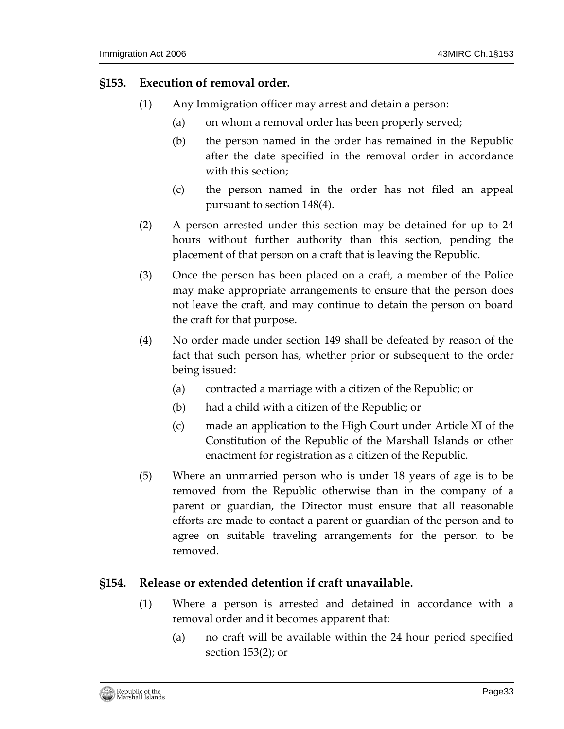#### <span id="page-32-0"></span>**§153. Execution of removal order.**

- (1) Any Immigration officer may arrest and detain a person:
	- (a) on whom a removal order has been properly served;
	- (b) the person named in the order has remained in the Republic after the date specified in the removal order in accordance with this section;
	- (c) the person named in the order has not filed an appeal pursuant to section 148(4).
- (2) A person arrested under this section may be detained for up to 24 hours without further authority than this section, pending the placement of that person on a craft that is leaving the Republic.
- (3) Once the person has been placed on a craft, a member of the Police may make appropriate arrangements to ensure that the person does not leave the craft, and may continue to detain the person on board the craft for that purpose.
- (4) No order made under section 149 shall be defeated by reason of the fact that such person has, whether prior or subsequent to the order being issued:
	- (a) contracted a marriage with a citizen of the Republic; or
	- (b) had a child with a citizen of the Republic; or
	- (c) made an application to the High Court under Article XI of the Constitution of the Republic of the Marshall Islands or other enactment for registration as a citizen of the Republic.
- (5) Where an unmarried person who is under 18 years of age is to be removed from the Republic otherwise than in the company of a parent or guardian, the Director must ensure that all reasonable efforts are made to contact a parent or guardian of the person and to agree on suitable traveling arrangements for the person to be removed.

### <span id="page-32-1"></span>**§154. Release or extended detention if craft unavailable.**

- (1) Where a person is arrested and detained in accordance with a removal order and it becomes apparent that:
	- (a) no craft will be available within the 24 hour period specified section 153(2); or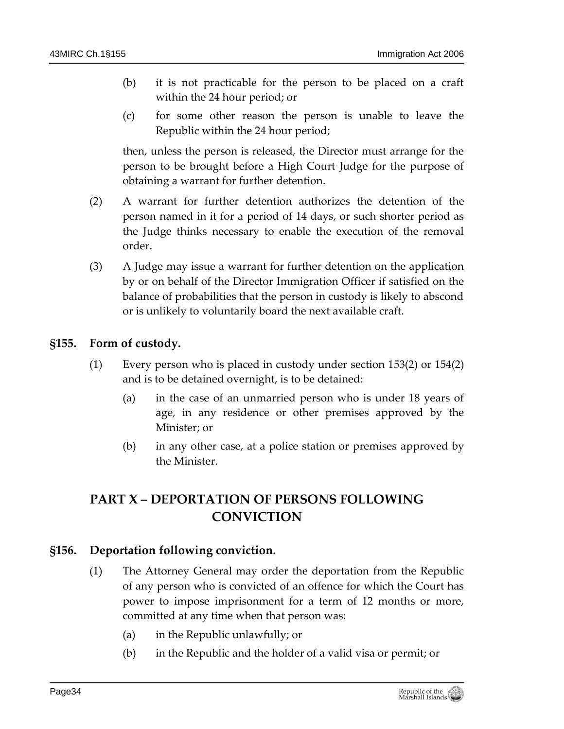- (b) it is not practicable for the person to be placed on a craft within the 24 hour period; or
- (c) for some other reason the person is unable to leave the Republic within the 24 hour period;

then, unless the person is released, the Director must arrange for the person to be brought before a High Court Judge for the purpose of obtaining a warrant for further detention.

- (2) A warrant for further detention authorizes the detention of the person named in it for a period of 14 days, or such shorter period as the Judge thinks necessary to enable the execution of the removal order.
- (3) A Judge may issue a warrant for further detention on the application by or on behalf of the Director Immigration Officer if satisfied on the balance of probabilities that the person in custody is likely to abscond or is unlikely to voluntarily board the next available craft.

### <span id="page-33-0"></span>**§155. Form of custody.**

- (1) Every person who is placed in custody under section 153(2) or 154(2) and is to be detained overnight, is to be detained:
	- (a) in the case of an unmarried person who is under 18 years of age, in any residence or other premises approved by the Minister; or
	- (b) in any other case, at a police station or premises approved by the Minister.

# <span id="page-33-1"></span>**PART X – DEPORTATION OF PERSONS FOLLOWING CONVICTION**

### <span id="page-33-2"></span>**§156. Deportation following conviction.**

- (1) The Attorney General may order the deportation from the Republic of any person who is convicted of an offence for which the Court has power to impose imprisonment for a term of 12 months or more, committed at any time when that person was:
	- (a) in the Republic unlawfully; or
	- (b) in the Republic and the holder of a valid visa or permit; or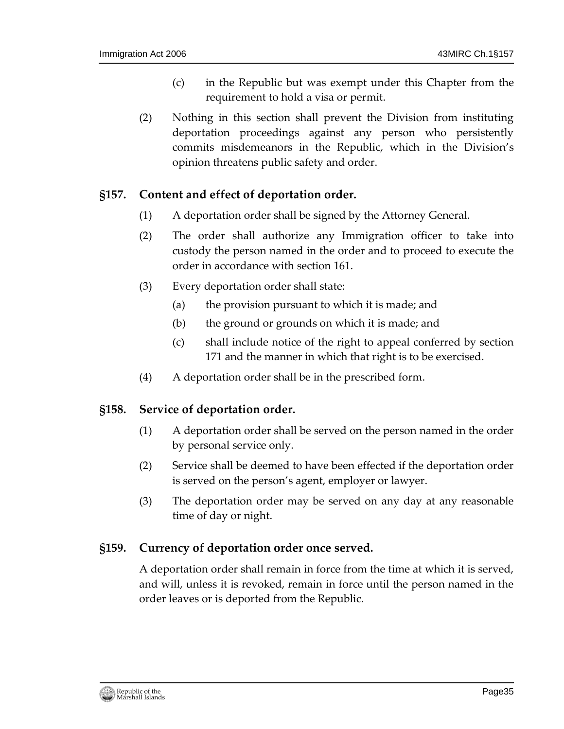- (c) in the Republic but was exempt under this Chapter from the requirement to hold a visa or permit.
- (2) Nothing in this section shall prevent the Division from instituting deportation proceedings against any person who persistently commits misdemeanors in the Republic, which in the Division's opinion threatens public safety and order.

#### <span id="page-34-0"></span>**§157. Content and effect of deportation order.**

- (1) A deportation order shall be signed by the Attorney General.
- (2) The order shall authorize any Immigration officer to take into custody the person named in the order and to proceed to execute the order in accordance with section 161.
- (3) Every deportation order shall state:
	- (a) the provision pursuant to which it is made; and
	- (b) the ground or grounds on which it is made; and
	- (c) shall include notice of the right to appeal conferred by section 171 and the manner in which that right is to be exercised.
- (4) A deportation order shall be in the prescribed form.

### <span id="page-34-1"></span>**§158. Service of deportation order.**

- (1) A deportation order shall be served on the person named in the order by personal service only.
- (2) Service shall be deemed to have been effected if the deportation order is served on the person's agent, employer or lawyer.
- (3) The deportation order may be served on any day at any reasonable time of day or night.

### <span id="page-34-2"></span>**§159. Currency of deportation order once served.**

A deportation order shall remain in force from the time at which it is served, and will, unless it is revoked, remain in force until the person named in the order leaves or is deported from the Republic.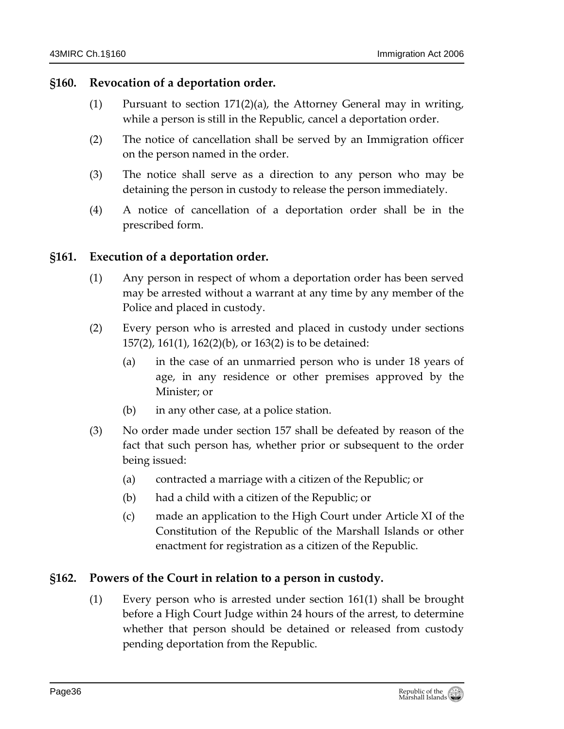#### <span id="page-35-0"></span>**§160. Revocation of a deportation order.**

- $(1)$  Pursuant to section 171 $(2)(a)$ , the Attorney General may in writing, while a person is still in the Republic, cancel a deportation order.
- (2) The notice of cancellation shall be served by an Immigration officer on the person named in the order.
- (3) The notice shall serve as a direction to any person who may be detaining the person in custody to release the person immediately.
- (4) A notice of cancellation of a deportation order shall be in the prescribed form.

### <span id="page-35-1"></span>**§161. Execution of a deportation order.**

- (1) Any person in respect of whom a deportation order has been served may be arrested without a warrant at any time by any member of the Police and placed in custody.
- (2) Every person who is arrested and placed in custody under sections 157(2), 161(1), 162(2)(b), or 163(2) is to be detained:
	- (a) in the case of an unmarried person who is under 18 years of age, in any residence or other premises approved by the Minister; or
	- (b) in any other case, at a police station.
- (3) No order made under section 157 shall be defeated by reason of the fact that such person has, whether prior or subsequent to the order being issued:
	- (a) contracted a marriage with a citizen of the Republic; or
	- (b) had a child with a citizen of the Republic; or
	- (c) made an application to the High Court under Article XI of the Constitution of the Republic of the Marshall Islands or other enactment for registration as a citizen of the Republic.

### <span id="page-35-2"></span>**§162. Powers of the Court in relation to a person in custody.**

(1) Every person who is arrested under section 161(1) shall be brought before a High Court Judge within 24 hours of the arrest, to determine whether that person should be detained or released from custody pending deportation from the Republic.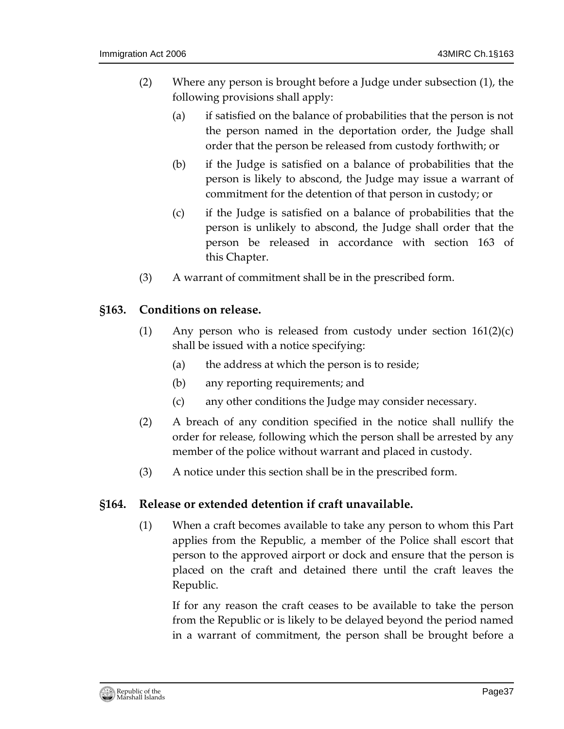- (2) Where any person is brought before a Judge under subsection (1), the following provisions shall apply:
	- (a) if satisfied on the balance of probabilities that the person is not the person named in the deportation order, the Judge shall order that the person be released from custody forthwith; or
	- (b) if the Judge is satisfied on a balance of probabilities that the person is likely to abscond, the Judge may issue a warrant of commitment for the detention of that person in custody; or
	- (c) if the Judge is satisfied on a balance of probabilities that the person is unlikely to abscond, the Judge shall order that the person be released in accordance with section 163 of this Chapter.
- (3) A warrant of commitment shall be in the prescribed form.

### <span id="page-36-0"></span>**§163. Conditions on release.**

- (1) Any person who is released from custody under section  $161(2)(c)$ shall be issued with a notice specifying:
	- (a) the address at which the person is to reside;
	- (b) any reporting requirements; and
	- (c) any other conditions the Judge may consider necessary.
- (2) A breach of any condition specified in the notice shall nullify the order for release, following which the person shall be arrested by any member of the police without warrant and placed in custody.
- (3) A notice under this section shall be in the prescribed form.

### <span id="page-36-1"></span>**§164. Release or extended detention if craft unavailable.**

(1) When a craft becomes available to take any person to whom this Part applies from the Republic, a member of the Police shall escort that person to the approved airport or dock and ensure that the person is placed on the craft and detained there until the craft leaves the Republic.

If for any reason the craft ceases to be available to take the person from the Republic or is likely to be delayed beyond the period named in a warrant of commitment, the person shall be brought before a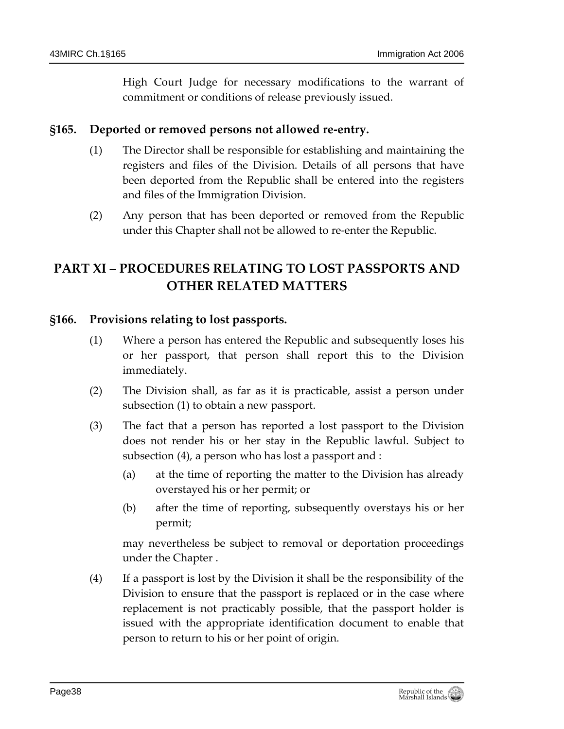High Court Judge for necessary modifications to the warrant of commitment or conditions of release previously issued.

### <span id="page-37-0"></span>**§165. Deported or removed persons not allowed re-entry.**

- (1) The Director shall be responsible for establishing and maintaining the registers and files of the Division. Details of all persons that have been deported from the Republic shall be entered into the registers and files of the Immigration Division.
- (2) Any person that has been deported or removed from the Republic under this Chapter shall not be allowed to re-enter the Republic.

# <span id="page-37-1"></span>**PART XI – PROCEDURES RELATING TO LOST PASSPORTS AND OTHER RELATED MATTERS**

### <span id="page-37-2"></span>**§166. Provisions relating to lost passports.**

- (1) Where a person has entered the Republic and subsequently loses his or her passport, that person shall report this to the Division immediately.
- (2) The Division shall, as far as it is practicable, assist a person under subsection (1) to obtain a new passport.
- (3) The fact that a person has reported a lost passport to the Division does not render his or her stay in the Republic lawful. Subject to subsection (4), a person who has lost a passport and :
	- (a) at the time of reporting the matter to the Division has already overstayed his or her permit; or
	- (b) after the time of reporting, subsequently overstays his or her permit;

may nevertheless be subject to removal or deportation proceedings under the Chapter .

(4) If a passport is lost by the Division it shall be the responsibility of the Division to ensure that the passport is replaced or in the case where replacement is not practicably possible, that the passport holder is issued with the appropriate identification document to enable that person to return to his or her point of origin.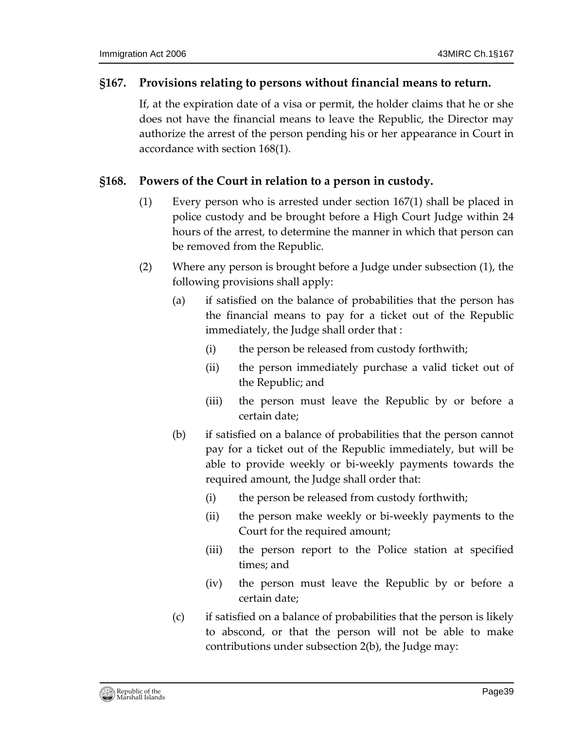#### <span id="page-38-0"></span>**§167. Provisions relating to persons without financial means to return.**

If, at the expiration date of a visa or permit, the holder claims that he or she does not have the financial means to leave the Republic, the Director may authorize the arrest of the person pending his or her appearance in Court in accordance with section 168(1).

## <span id="page-38-1"></span>**§168. Powers of the Court in relation to a person in custody.**

- (1) Every person who is arrested under section 167(1) shall be placed in police custody and be brought before a High Court Judge within 24 hours of the arrest, to determine the manner in which that person can be removed from the Republic.
- (2) Where any person is brought before a Judge under subsection (1), the following provisions shall apply:
	- (a) if satisfied on the balance of probabilities that the person has the financial means to pay for a ticket out of the Republic immediately, the Judge shall order that :
		- (i) the person be released from custody forthwith;
		- (ii) the person immediately purchase a valid ticket out of the Republic; and
		- (iii) the person must leave the Republic by or before a certain date;
	- (b) if satisfied on a balance of probabilities that the person cannot pay for a ticket out of the Republic immediately, but will be able to provide weekly or bi-weekly payments towards the required amount, the Judge shall order that:
		- (i) the person be released from custody forthwith;
		- (ii) the person make weekly or bi-weekly payments to the Court for the required amount;
		- (iii) the person report to the Police station at specified times; and
		- (iv) the person must leave the Republic by or before a certain date;
	- (c) if satisfied on a balance of probabilities that the person is likely to abscond, or that the person will not be able to make contributions under subsection 2(b), the Judge may: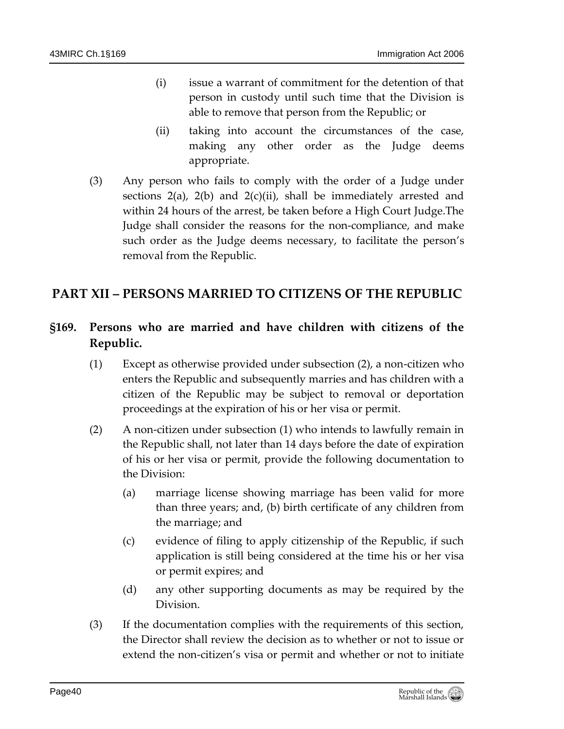- (i) issue a warrant of commitment for the detention of that person in custody until such time that the Division is able to remove that person from the Republic; or
- (ii) taking into account the circumstances of the case, making any other order as the Judge deems appropriate.
- (3) Any person who fails to comply with the order of a Judge under sections 2(a), 2(b) and 2(c)(ii), shall be immediately arrested and within 24 hours of the arrest, be taken before a High Court Judge.The Judge shall consider the reasons for the non-compliance, and make such order as the Judge deems necessary, to facilitate the person's removal from the Republic.

# <span id="page-39-1"></span><span id="page-39-0"></span>**PART XII – PERSONS MARRIED TO CITIZENS OF THE REPUBLIC**

# **§169. Persons who are married and have children with citizens of the Republic.**

- (1) Except as otherwise provided under subsection (2), a non-citizen who enters the Republic and subsequently marries and has children with a citizen of the Republic may be subject to removal or deportation proceedings at the expiration of his or her visa or permit.
- (2) A non-citizen under subsection (1) who intends to lawfully remain in the Republic shall, not later than 14 days before the date of expiration of his or her visa or permit, provide the following documentation to the Division:
	- (a) marriage license showing marriage has been valid for more than three years; and, (b) birth certificate of any children from the marriage; and
	- (c) evidence of filing to apply citizenship of the Republic, if such application is still being considered at the time his or her visa or permit expires; and
	- (d) any other supporting documents as may be required by the Division.
- (3) If the documentation complies with the requirements of this section, the Director shall review the decision as to whether or not to issue or extend the non-citizen's visa or permit and whether or not to initiate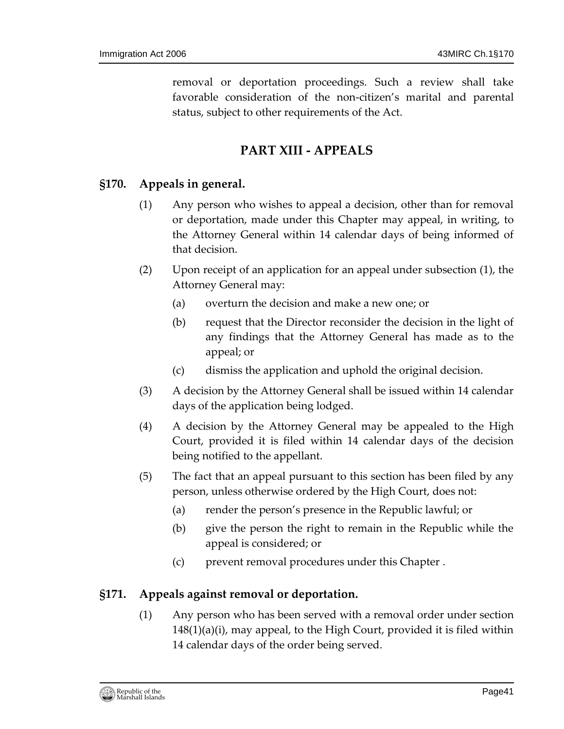removal or deportation proceedings. Such a review shall take favorable consideration of the non-citizen's marital and parental status, subject to other requirements of the Act.

# **PART XIII - APPEALS**

### <span id="page-40-1"></span><span id="page-40-0"></span>**§170. Appeals in general.**

- (1) Any person who wishes to appeal a decision, other than for removal or deportation, made under this Chapter may appeal, in writing, to the Attorney General within 14 calendar days of being informed of that decision.
- (2) Upon receipt of an application for an appeal under subsection (1), the Attorney General may:
	- (a) overturn the decision and make a new one; or
	- (b) request that the Director reconsider the decision in the light of any findings that the Attorney General has made as to the appeal; or
	- (c) dismiss the application and uphold the original decision.
- (3) A decision by the Attorney General shall be issued within 14 calendar days of the application being lodged.
- (4) A decision by the Attorney General may be appealed to the High Court, provided it is filed within 14 calendar days of the decision being notified to the appellant.
- (5) The fact that an appeal pursuant to this section has been filed by any person, unless otherwise ordered by the High Court, does not:
	- (a) render the person's presence in the Republic lawful; or
	- (b) give the person the right to remain in the Republic while the appeal is considered; or
	- (c) prevent removal procedures under this Chapter .

### <span id="page-40-2"></span>**§171. Appeals against removal or deportation.**

(1) Any person who has been served with a removal order under section 148(1)(a)(i), may appeal, to the High Court, provided it is filed within 14 calendar days of the order being served.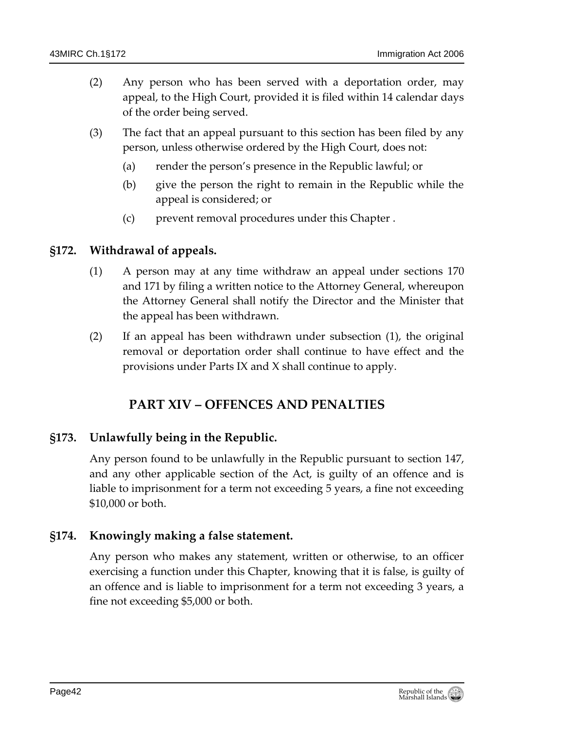- (2) Any person who has been served with a deportation order, may appeal, to the High Court, provided it is filed within 14 calendar days of the order being served.
- (3) The fact that an appeal pursuant to this section has been filed by any person, unless otherwise ordered by the High Court, does not:
	- (a) render the person's presence in the Republic lawful; or
	- (b) give the person the right to remain in the Republic while the appeal is considered; or
	- (c) prevent removal procedures under this Chapter .

#### <span id="page-41-0"></span>**§172. Withdrawal of appeals.**

- (1) A person may at any time withdraw an appeal under sections 170 and 171 by filing a written notice to the Attorney General, whereupon the Attorney General shall notify the Director and the Minister that the appeal has been withdrawn.
- <span id="page-41-1"></span>(2) If an appeal has been withdrawn under subsection (1), the original removal or deportation order shall continue to have effect and the provisions under Parts IX and X shall continue to apply.

# **PART XIV – OFFENCES AND PENALTIES**

#### <span id="page-41-2"></span>**§173. Unlawfully being in the Republic.**

Any person found to be unlawfully in the Republic pursuant to section 147, and any other applicable section of the Act, is guilty of an offence and is liable to imprisonment for a term not exceeding 5 years, a fine not exceeding \$10,000 or both.

#### <span id="page-41-3"></span>**§174. Knowingly making a false statement.**

Any person who makes any statement, written or otherwise, to an officer exercising a function under this Chapter, knowing that it is false, is guilty of an offence and is liable to imprisonment for a term not exceeding 3 years, a fine not exceeding \$5,000 or both.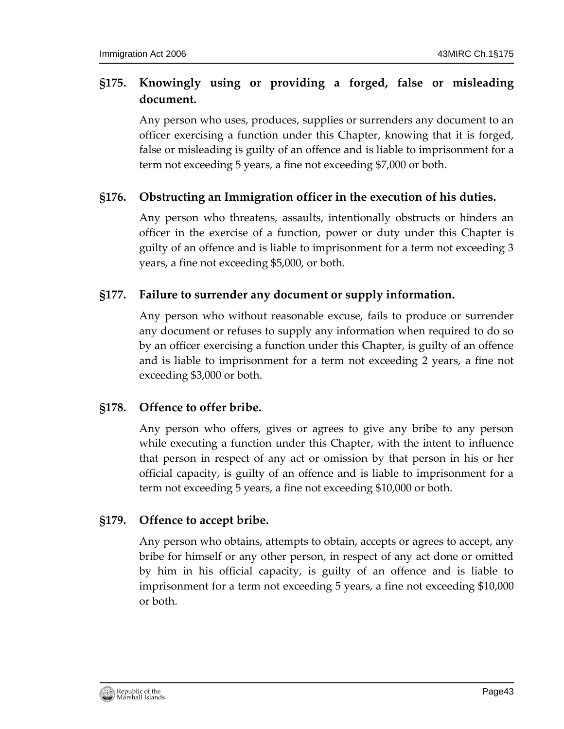# <span id="page-42-0"></span>**§175. Knowingly using or providing a forged, false or misleading document.**

Any person who uses, produces, supplies or surrenders any document to an officer exercising a function under this Chapter, knowing that it is forged, false or misleading is guilty of an offence and is liable to imprisonment for a term not exceeding 5 years, a fine not exceeding \$7,000 or both.

## <span id="page-42-1"></span>**§176. Obstructing an Immigration officer in the execution of his duties.**

Any person who threatens, assaults, intentionally obstructs or hinders an officer in the exercise of a function, power or duty under this Chapter is guilty of an offence and is liable to imprisonment for a term not exceeding 3 years, a fine not exceeding \$5,000, or both.

## <span id="page-42-2"></span>**§177. Failure to surrender any document or supply information.**

Any person who without reasonable excuse, fails to produce or surrender any document or refuses to supply any information when required to do so by an officer exercising a function under this Chapter, is guilty of an offence and is liable to imprisonment for a term not exceeding 2 years, a fine not exceeding \$3,000 or both.

### <span id="page-42-3"></span>**§178. Offence to offer bribe.**

Any person who offers, gives or agrees to give any bribe to any person while executing a function under this Chapter, with the intent to influence that person in respect of any act or omission by that person in his or her official capacity, is guilty of an offence and is liable to imprisonment for a term not exceeding 5 years, a fine not exceeding \$10,000 or both.

### <span id="page-42-4"></span>**§179. Offence to accept bribe.**

Any person who obtains, attempts to obtain, accepts or agrees to accept, any bribe for himself or any other person, in respect of any act done or omitted by him in his official capacity, is guilty of an offence and is liable to imprisonment for a term not exceeding 5 years, a fine not exceeding \$10,000 or both.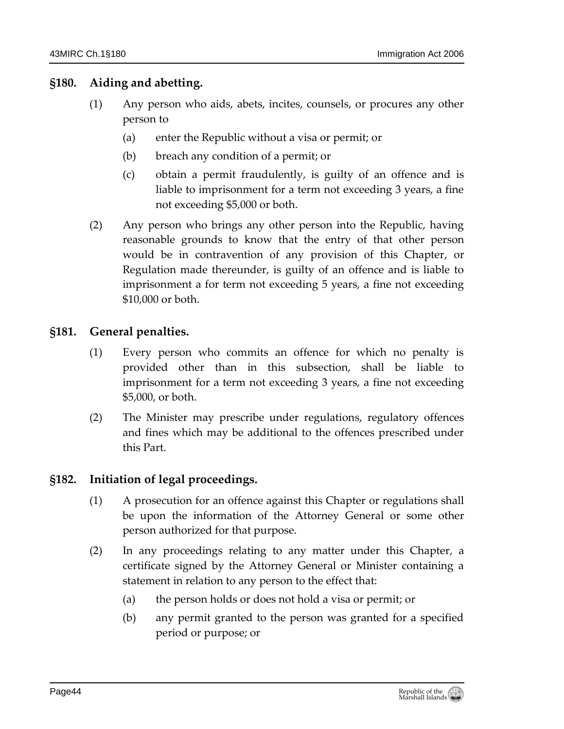### <span id="page-43-0"></span>**§180. Aiding and abetting.**

- (1) Any person who aids, abets, incites, counsels, or procures any other person to
	- (a) enter the Republic without a visa or permit; or
	- (b) breach any condition of a permit; or
	- (c) obtain a permit fraudulently, is guilty of an offence and is liable to imprisonment for a term not exceeding 3 years, a fine not exceeding \$5,000 or both.
- (2) Any person who brings any other person into the Republic, having reasonable grounds to know that the entry of that other person would be in contravention of any provision of this Chapter, or Regulation made thereunder, is guilty of an offence and is liable to imprisonment a for term not exceeding 5 years, a fine not exceeding \$10,000 or both.

### <span id="page-43-1"></span>**§181. General penalties.**

- (1) Every person who commits an offence for which no penalty is provided other than in this subsection, shall be liable to imprisonment for a term not exceeding 3 years, a fine not exceeding \$5,000, or both.
- (2) The Minister may prescribe under regulations, regulatory offences and fines which may be additional to the offences prescribed under this Part.

#### <span id="page-43-2"></span>**§182. Initiation of legal proceedings.**

- (1) A prosecution for an offence against this Chapter or regulations shall be upon the information of the Attorney General or some other person authorized for that purpose.
- (2) In any proceedings relating to any matter under this Chapter, a certificate signed by the Attorney General or Minister containing a statement in relation to any person to the effect that:
	- (a) the person holds or does not hold a visa or permit; or
	- (b) any permit granted to the person was granted for a specified period or purpose; or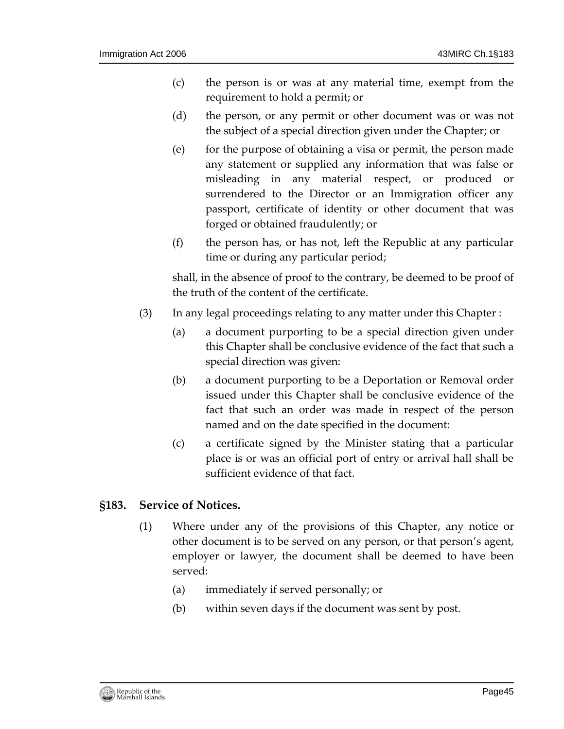- (c) the person is or was at any material time, exempt from the requirement to hold a permit; or
- (d) the person, or any permit or other document was or was not the subject of a special direction given under the Chapter; or
- (e) for the purpose of obtaining a visa or permit, the person made any statement or supplied any information that was false or misleading in any material respect, or produced or surrendered to the Director or an Immigration officer any passport, certificate of identity or other document that was forged or obtained fraudulently; or
- (f) the person has, or has not, left the Republic at any particular time or during any particular period;

shall, in the absence of proof to the contrary, be deemed to be proof of the truth of the content of the certificate.

- (3) In any legal proceedings relating to any matter under this Chapter :
	- (a) a document purporting to be a special direction given under this Chapter shall be conclusive evidence of the fact that such a special direction was given:
	- (b) a document purporting to be a Deportation or Removal order issued under this Chapter shall be conclusive evidence of the fact that such an order was made in respect of the person named and on the date specified in the document:
	- (c) a certificate signed by the Minister stating that a particular place is or was an official port of entry or arrival hall shall be sufficient evidence of that fact.

#### <span id="page-44-0"></span>**§183. Service of Notices.**

- (1) Where under any of the provisions of this Chapter, any notice or other document is to be served on any person, or that person's agent, employer or lawyer, the document shall be deemed to have been served:
	- (a) immediately if served personally; or
	- (b) within seven days if the document was sent by post.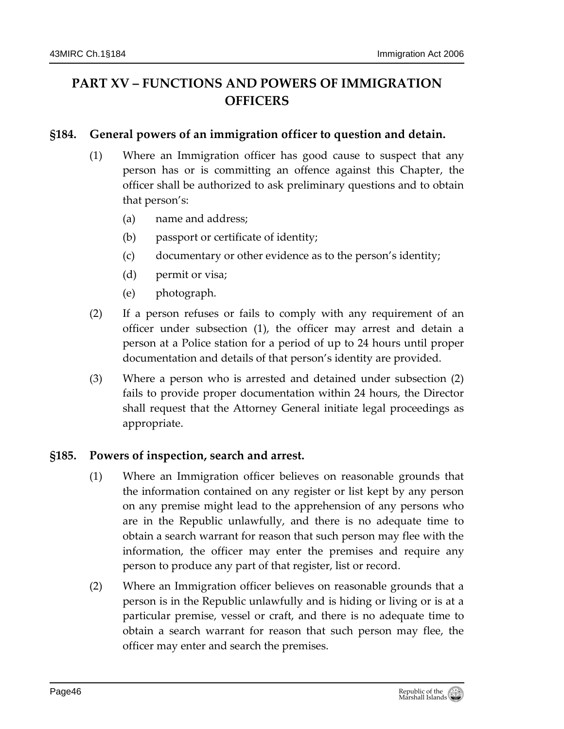# <span id="page-45-0"></span>**PART XV – FUNCTIONS AND POWERS OF IMMIGRATION OFFICERS**

### <span id="page-45-1"></span>**§184. General powers of an immigration officer to question and detain.**

- (1) Where an Immigration officer has good cause to suspect that any person has or is committing an offence against this Chapter, the officer shall be authorized to ask preliminary questions and to obtain that person's:
	- (a) name and address;
	- (b) passport or certificate of identity;
	- (c) documentary or other evidence as to the person's identity;
	- (d) permit or visa;
	- (e) photograph.
- (2) If a person refuses or fails to comply with any requirement of an officer under subsection (1), the officer may arrest and detain a person at a Police station for a period of up to 24 hours until proper documentation and details of that person's identity are provided.
- (3) Where a person who is arrested and detained under subsection (2) fails to provide proper documentation within 24 hours, the Director shall request that the Attorney General initiate legal proceedings as appropriate.

### <span id="page-45-2"></span>**§185. Powers of inspection, search and arrest.**

- (1) Where an Immigration officer believes on reasonable grounds that the information contained on any register or list kept by any person on any premise might lead to the apprehension of any persons who are in the Republic unlawfully, and there is no adequate time to obtain a search warrant for reason that such person may flee with the information, the officer may enter the premises and require any person to produce any part of that register, list or record.
- (2) Where an Immigration officer believes on reasonable grounds that a person is in the Republic unlawfully and is hiding or living or is at a particular premise, vessel or craft, and there is no adequate time to obtain a search warrant for reason that such person may flee, the officer may enter and search the premises.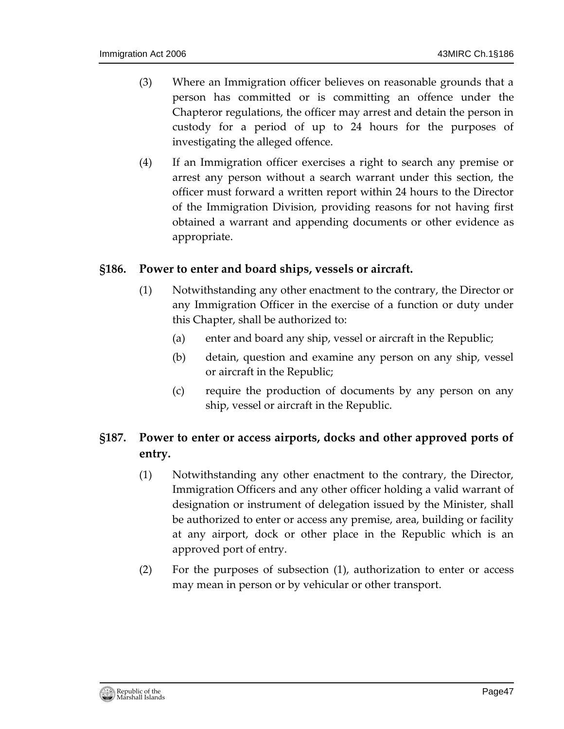- (3) Where an Immigration officer believes on reasonable grounds that a person has committed or is committing an offence under the Chapteror regulations, the officer may arrest and detain the person in custody for a period of up to 24 hours for the purposes of investigating the alleged offence.
- (4) If an Immigration officer exercises a right to search any premise or arrest any person without a search warrant under this section, the officer must forward a written report within 24 hours to the Director of the Immigration Division, providing reasons for not having first obtained a warrant and appending documents or other evidence as appropriate.

#### <span id="page-46-0"></span>**§186. Power to enter and board ships, vessels or aircraft.**

- (1) Notwithstanding any other enactment to the contrary, the Director or any Immigration Officer in the exercise of a function or duty under this Chapter, shall be authorized to:
	- (a) enter and board any ship, vessel or aircraft in the Republic;
	- (b) detain, question and examine any person on any ship, vessel or aircraft in the Republic;
	- (c) require the production of documents by any person on any ship, vessel or aircraft in the Republic.

# <span id="page-46-1"></span>**§187. Power to enter or access airports, docks and other approved ports of entry.**

- (1) Notwithstanding any other enactment to the contrary, the Director, Immigration Officers and any other officer holding a valid warrant of designation or instrument of delegation issued by the Minister, shall be authorized to enter or access any premise, area, building or facility at any airport, dock or other place in the Republic which is an approved port of entry.
- (2) For the purposes of subsection (1), authorization to enter or access may mean in person or by vehicular or other transport.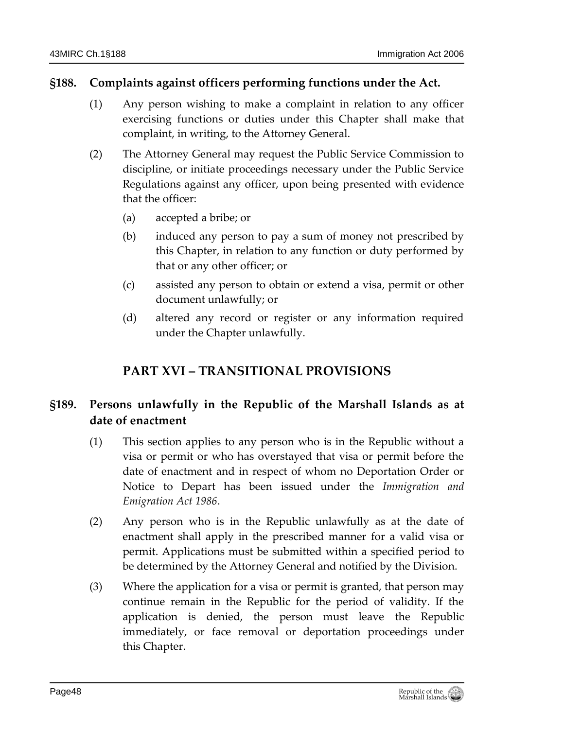### <span id="page-47-0"></span>**§188. Complaints against officers performing functions under the Act.**

- (1) Any person wishing to make a complaint in relation to any officer exercising functions or duties under this Chapter shall make that complaint, in writing, to the Attorney General.
- (2) The Attorney General may request the Public Service Commission to discipline, or initiate proceedings necessary under the Public Service Regulations against any officer, upon being presented with evidence that the officer:
	- (a) accepted a bribe; or
	- (b) induced any person to pay a sum of money not prescribed by this Chapter, in relation to any function or duty performed by that or any other officer; or
	- (c) assisted any person to obtain or extend a visa, permit or other document unlawfully; or
	- (d) altered any record or register or any information required under the Chapter unlawfully.

# **PART XVI – TRANSITIONAL PROVISIONS**

# <span id="page-47-2"></span><span id="page-47-1"></span>**§189. Persons unlawfully in the Republic of the Marshall Islands as at date of enactment**

- (1) This section applies to any person who is in the Republic without a visa or permit or who has overstayed that visa or permit before the date of enactment and in respect of whom no Deportation Order or Notice to Depart has been issued under the *Immigration and Emigration Act 1986*.
- (2) Any person who is in the Republic unlawfully as at the date of enactment shall apply in the prescribed manner for a valid visa or permit. Applications must be submitted within a specified period to be determined by the Attorney General and notified by the Division.
- (3) Where the application for a visa or permit is granted, that person may continue remain in the Republic for the period of validity. If the application is denied, the person must leave the Republic immediately, or face removal or deportation proceedings under this Chapter.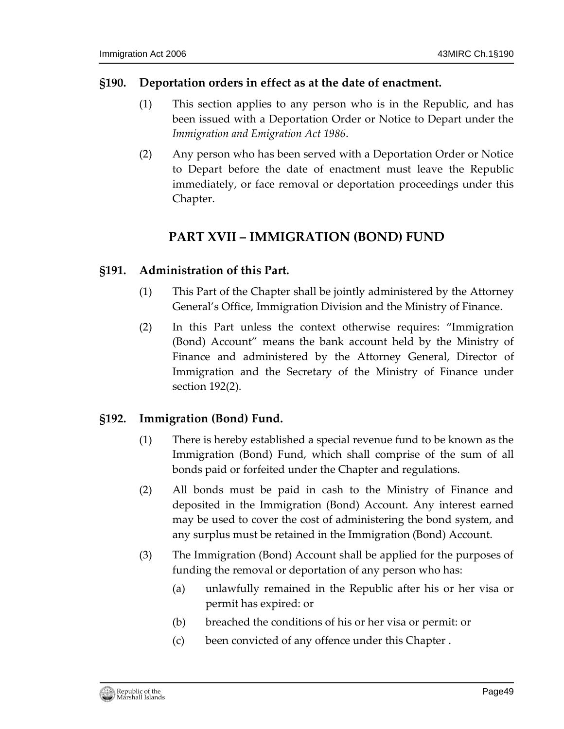#### <span id="page-48-0"></span>**§190. Deportation orders in effect as at the date of enactment.**

- (1) This section applies to any person who is in the Republic, and has been issued with a Deportation Order or Notice to Depart under the *Immigration and Emigration Act 1986*.
- (2) Any person who has been served with a Deportation Order or Notice to Depart before the date of enactment must leave the Republic immediately, or face removal or deportation proceedings under this Chapter.

# **PART XVII – IMMIGRATION (BOND) FUND**

#### <span id="page-48-2"></span><span id="page-48-1"></span>**§191. Administration of this Part.**

- (1) This Part of the Chapter shall be jointly administered by the Attorney General's Office, Immigration Division and the Ministry of Finance.
- (2) In this Part unless the context otherwise requires: "Immigration (Bond) Account" means the bank account held by the Ministry of Finance and administered by the Attorney General, Director of Immigration and the Secretary of the Ministry of Finance under section 192(2).

### <span id="page-48-3"></span>**§192. Immigration (Bond) Fund.**

- (1) There is hereby established a special revenue fund to be known as the Immigration (Bond) Fund, which shall comprise of the sum of all bonds paid or forfeited under the Chapter and regulations.
- (2) All bonds must be paid in cash to the Ministry of Finance and deposited in the Immigration (Bond) Account. Any interest earned may be used to cover the cost of administering the bond system, and any surplus must be retained in the Immigration (Bond) Account.
- (3) The Immigration (Bond) Account shall be applied for the purposes of funding the removal or deportation of any person who has:
	- (a) unlawfully remained in the Republic after his or her visa or permit has expired: or
	- (b) breached the conditions of his or her visa or permit: or
	- (c) been convicted of any offence under this Chapter .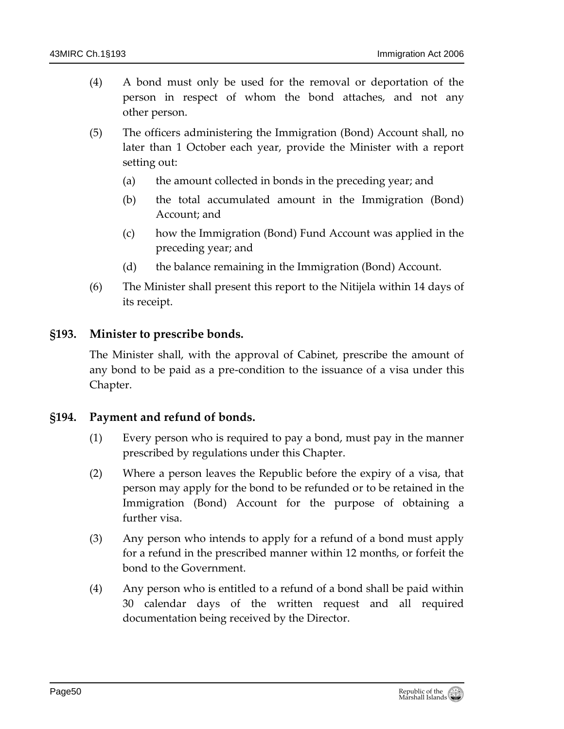- (4) A bond must only be used for the removal or deportation of the person in respect of whom the bond attaches, and not any other person.
- (5) The officers administering the Immigration (Bond) Account shall, no later than 1 October each year, provide the Minister with a report setting out:
	- (a) the amount collected in bonds in the preceding year; and
	- (b) the total accumulated amount in the Immigration (Bond) Account; and
	- (c) how the Immigration (Bond) Fund Account was applied in the preceding year; and
	- (d) the balance remaining in the Immigration (Bond) Account.
- (6) The Minister shall present this report to the Nitijela within 14 days of its receipt.

### <span id="page-49-0"></span>**§193. Minister to prescribe bonds.**

The Minister shall, with the approval of Cabinet, prescribe the amount of any bond to be paid as a pre-condition to the issuance of a visa under this Chapter.

### <span id="page-49-1"></span>**§194. Payment and refund of bonds.**

- (1) Every person who is required to pay a bond, must pay in the manner prescribed by regulations under this Chapter.
- (2) Where a person leaves the Republic before the expiry of a visa, that person may apply for the bond to be refunded or to be retained in the Immigration (Bond) Account for the purpose of obtaining a further visa.
- (3) Any person who intends to apply for a refund of a bond must apply for a refund in the prescribed manner within 12 months, or forfeit the bond to the Government.
- (4) Any person who is entitled to a refund of a bond shall be paid within 30 calendar days of the written request and all required documentation being received by the Director.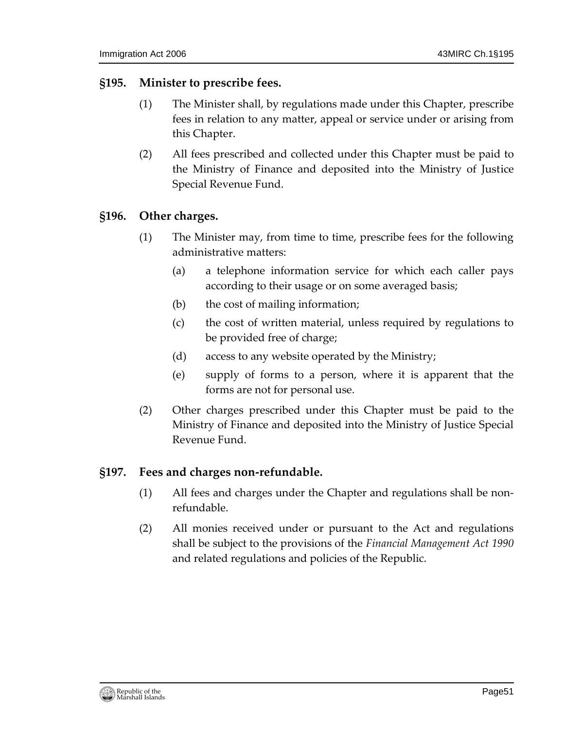#### <span id="page-50-0"></span>**§195. Minister to prescribe fees.**

- (1) The Minister shall, by regulations made under this Chapter, prescribe fees in relation to any matter, appeal or service under or arising from this Chapter.
- (2) All fees prescribed and collected under this Chapter must be paid to the Ministry of Finance and deposited into the Ministry of Justice Special Revenue Fund.

#### <span id="page-50-1"></span>**§196. Other charges.**

- (1) The Minister may, from time to time, prescribe fees for the following administrative matters:
	- (a) a telephone information service for which each caller pays according to their usage or on some averaged basis;
	- (b) the cost of mailing information;
	- (c) the cost of written material, unless required by regulations to be provided free of charge;
	- (d) access to any website operated by the Ministry;
	- (e) supply of forms to a person, where it is apparent that the forms are not for personal use.
- (2) Other charges prescribed under this Chapter must be paid to the Ministry of Finance and deposited into the Ministry of Justice Special Revenue Fund.

### <span id="page-50-2"></span>**§197. Fees and charges non-refundable.**

- (1) All fees and charges under the Chapter and regulations shall be nonrefundable.
- (2) All monies received under or pursuant to the Act and regulations shall be subject to the provisions of the *Financial Management Act 1990* and related regulations and policies of the Republic.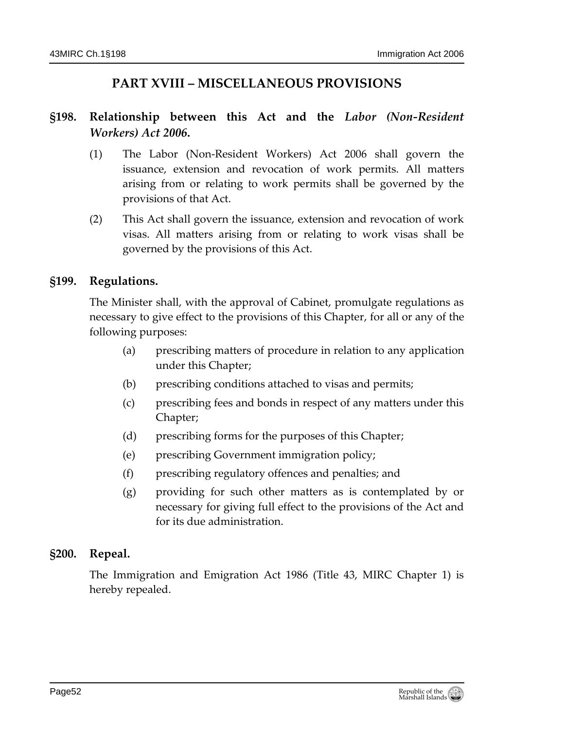# **PART XVIII – MISCELLANEOUS PROVISIONS**

# <span id="page-51-1"></span><span id="page-51-0"></span>**§198. Relationship between this Act and the** *Labor (Non-Resident Workers) Act 2006***.**

- (1) The Labor (Non-Resident Workers) Act 2006 shall govern the issuance, extension and revocation of work permits. All matters arising from or relating to work permits shall be governed by the provisions of that Act.
- (2) This Act shall govern the issuance, extension and revocation of work visas. All matters arising from or relating to work visas shall be governed by the provisions of this Act.

### <span id="page-51-2"></span>**§199. Regulations.**

The Minister shall, with the approval of Cabinet, promulgate regulations as necessary to give effect to the provisions of this Chapter, for all or any of the following purposes:

- (a) prescribing matters of procedure in relation to any application under this Chapter;
- (b) prescribing conditions attached to visas and permits;
- (c) prescribing fees and bonds in respect of any matters under this Chapter;
- (d) prescribing forms for the purposes of this Chapter;
- (e) prescribing Government immigration policy;
- (f) prescribing regulatory offences and penalties; and
- (g) providing for such other matters as is contemplated by or necessary for giving full effect to the provisions of the Act and for its due administration.

### <span id="page-51-3"></span>**§200. Repeal.**

The Immigration and Emigration Act 1986 (Title 43, MIRC Chapter 1) is hereby repealed.